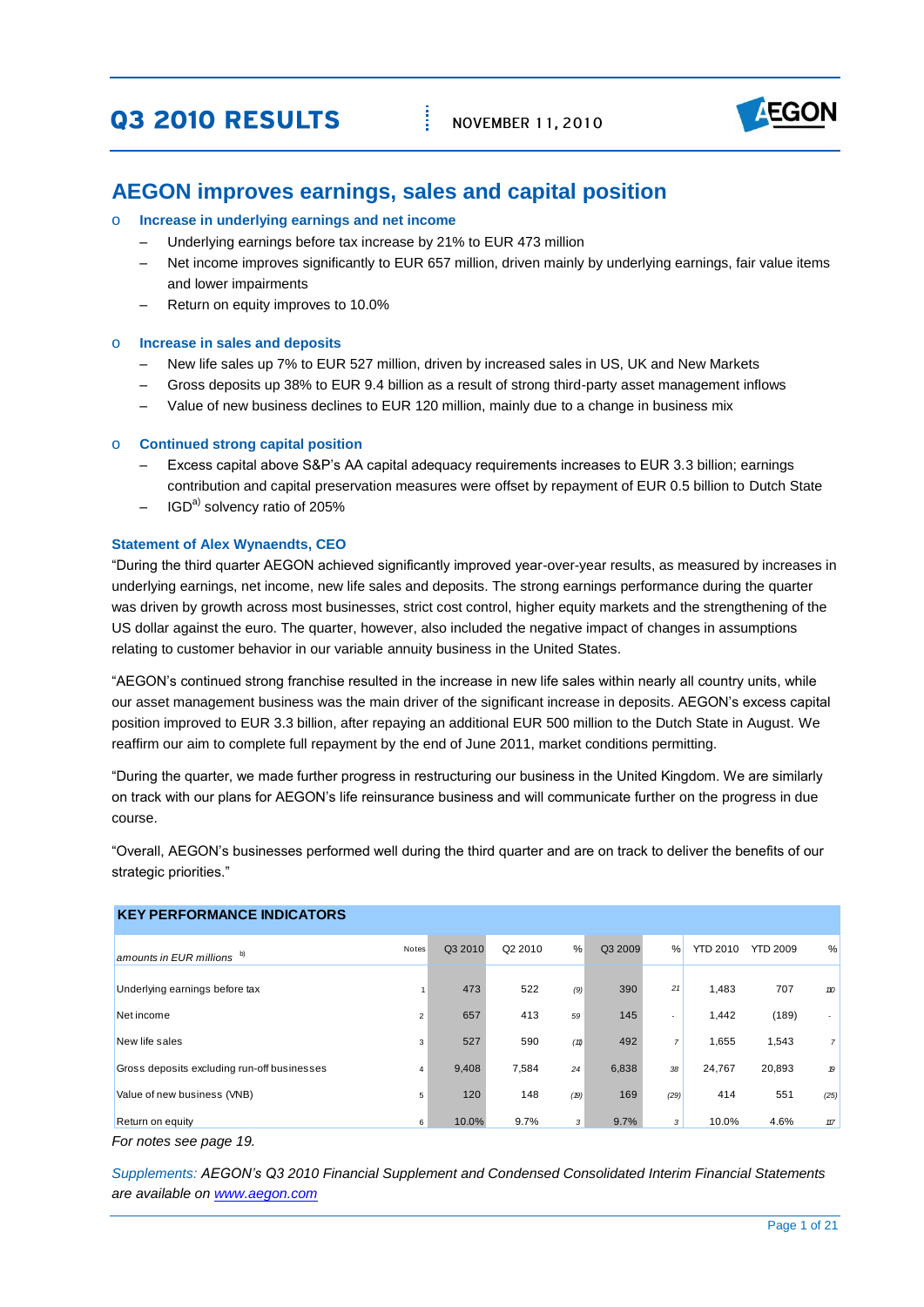# **03 2010 RESULTS**



### **AEGON improves earnings, sales and capital position**

#### o **Increase in underlying earnings and net income**

- Underlying earnings before tax increase by 21% to EUR 473 million
- Net income improves significantly to EUR 657 million, driven mainly by underlying earnings, fair value items and lower impairments
- Return on equity improves to 10.0%

#### o **Increase in sales and deposits**

- New life sales up 7% to EUR 527 million, driven by increased sales in US, UK and New Markets
- Gross deposits up 38% to EUR 9.4 billion as a result of strong third-party asset management inflows
- Value of new business declines to EUR 120 million, mainly due to a change in business mix

#### o **Continued strong capital position**

- Excess capital above S&P's AA capital adequacy requirements increases to EUR 3.3 billion; earnings contribution and capital preservation measures were offset by repayment of EUR 0.5 billion to Dutch State
- $-$  IGD<sup>a)</sup> solvency ratio of 205%

#### **Statement of Alex Wynaendts, CEO**

"During the third quarter AEGON achieved significantly improved year-over-year results, as measured by increases in underlying earnings, net income, new life sales and deposits. The strong earnings performance during the quarter was driven by growth across most businesses, strict cost control, higher equity markets and the strengthening of the US dollar against the euro. The quarter, however, also included the negative impact of changes in assumptions relating to customer behavior in our variable annuity business in the United States.

"AEGON's continued strong franchise resulted in the increase in new life sales within nearly all country units, while our asset management business was the main driver of the significant increase in deposits. AEGON's excess capital position improved to EUR 3.3 billion, after repaying an additional EUR 500 million to the Dutch State in August. We reaffirm our aim to complete full repayment by the end of June 2011, market conditions permitting.

"During the quarter, we made further progress in restructuring our business in the United Kingdom. We are similarly on track with our plans for AEGON's life reinsurance business and will communicate further on the progress in due course.

"Overall, AEGON's businesses performed well during the third quarter and are on track to deliver the benefits of our strategic priorities."

| <b>KEY PERFORMANCE INDICATORS</b>                                                                         |                |         |         |      |         |                |                 |                 |       |
|-----------------------------------------------------------------------------------------------------------|----------------|---------|---------|------|---------|----------------|-----------------|-----------------|-------|
| amounts in EUR millions b)                                                                                | Notes          | Q3 2010 | Q2 2010 | $\%$ | Q3 2009 | %              | <b>YTD 2010</b> | <b>YTD 2009</b> | %     |
| Underlying earnings before tax                                                                            |                | 473     | 522     | (9)  | 390     | 21             | 1,483           | 707             | 110   |
| Net income                                                                                                | $\overline{2}$ | 657     | 413     | 59   | 145     |                | 1,442           | (189)           |       |
| New life sales                                                                                            | 3              | 527     | 590     | (11) | 492     | $\overline{7}$ | 1,655           | 1,543           | 7     |
| Gross deposits excluding run-off businesses                                                               | $\overline{4}$ | 9,408   | 7,584   | 24   | 6,838   | 38             | 24,767          | 20,893          | 19    |
| Value of new business (VNB)                                                                               | 5              | 120     | 148     | (19) | 169     | (29)           | 414             | 551             | (25)  |
| Return on equity                                                                                          | 6              | 10.0%   | 9.7%    | 3    | 9.7%    | 3              | 10.0%           | 4.6%            | $117$ |
| For notes see page 19.                                                                                    |                |         |         |      |         |                |                 |                 |       |
| Supplements: AEGON's Q3 2010 Financial Supplement and Condensed Consolidated Interim Financial Statements |                |         |         |      |         |                |                 |                 |       |
| are available on www.aegon.com                                                                            |                |         |         |      |         |                |                 |                 |       |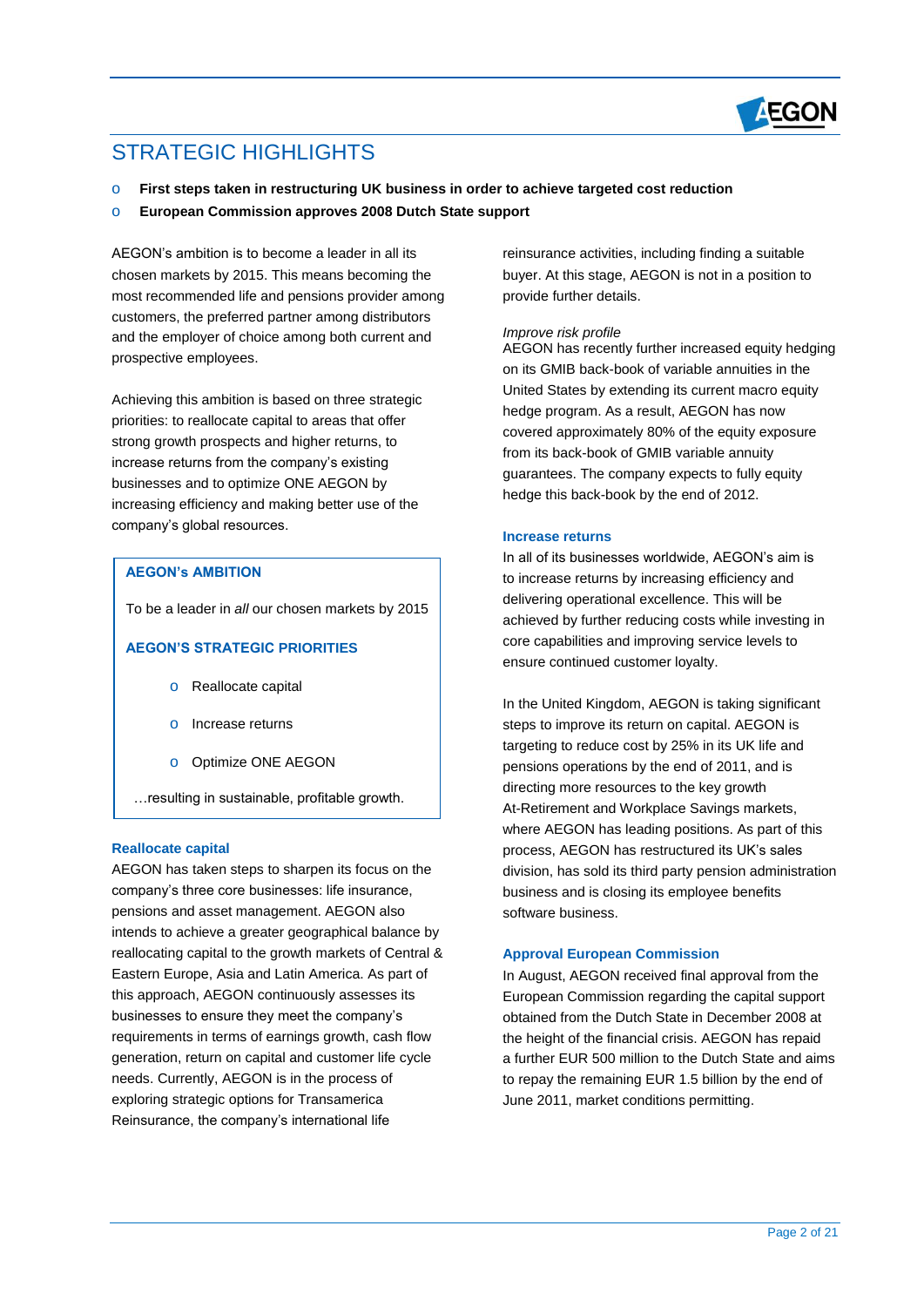

# STRATEGIC HIGHI IGHTS

- o **First steps taken in restructuring UK business in order to achieve targeted cost reduction**
- o **European Commission approves 2008 Dutch State support**

AEGON's ambition is to become a leader in all its chosen markets by 2015. This means becoming the most recommended life and pensions provider among customers, the preferred partner among distributors and the employer of choice among both current and prospective employees.

Achieving this ambition is based on three strategic priorities: to reallocate capital to areas that offer strong growth prospects and higher returns, to increase returns from the company's existing businesses and to optimize ONE AEGON by increasing efficiency and making better use of the company's global resources.

#### **AEGON's AMBITION**

To be a leader in *all* our chosen markets by 2015

#### **AEGON'S STRATEGIC PRIORITIES**

- o Reallocate capital
- o Increase returns
- o Optimize ONE AEGON
- …resulting in sustainable, profitable growth.

#### **Reallocate capital**

AEGON has taken steps to sharpen its focus on the company's three core businesses: life insurance, pensions and asset management. AEGON also intends to achieve a greater geographical balance by reallocating capital to the growth markets of Central & Eastern Europe, Asia and Latin America. As part of this approach, AEGON continuously assesses its businesses to ensure they meet the company's requirements in terms of earnings growth, cash flow generation, return on capital and customer life cycle needs. Currently, AEGON is in the process of exploring strategic options for Transamerica Reinsurance, the company's international life

reinsurance activities, including finding a suitable buyer. At this stage, AEGON is not in a position to provide further details.

#### *Improve risk profile*

AEGON has recently further increased equity hedging on its GMIB back-book of variable annuities in the United States by extending its current macro equity hedge program. As a result, AEGON has now covered approximately 80% of the equity exposure from its back-book of GMIB variable annuity guarantees. The company expects to fully equity hedge this back-book by the end of 2012.

#### **Increase returns**

In all of its businesses worldwide, AEGON's aim is to increase returns by increasing efficiency and delivering operational excellence. This will be achieved by further reducing costs while investing in core capabilities and improving service levels to ensure continued customer loyalty.

In the United Kingdom, AEGON is taking significant steps to improve its return on capital. AEGON is targeting to reduce cost by 25% in its UK life and pensions operations by the end of 2011, and is directing more resources to the key growth At-Retirement and Workplace Savings markets, where AEGON has leading positions. As part of this process, AEGON has restructured its UK's sales division, has sold its third party pension administration business and is closing its employee benefits software business.

#### **Approval European Commission**

In August, AEGON received final approval from the European Commission regarding the capital support obtained from the Dutch State in December 2008 at the height of the financial crisis. AEGON has repaid a further EUR 500 million to the Dutch State and aims to repay the remaining EUR 1.5 billion by the end of June 2011, market conditions permitting.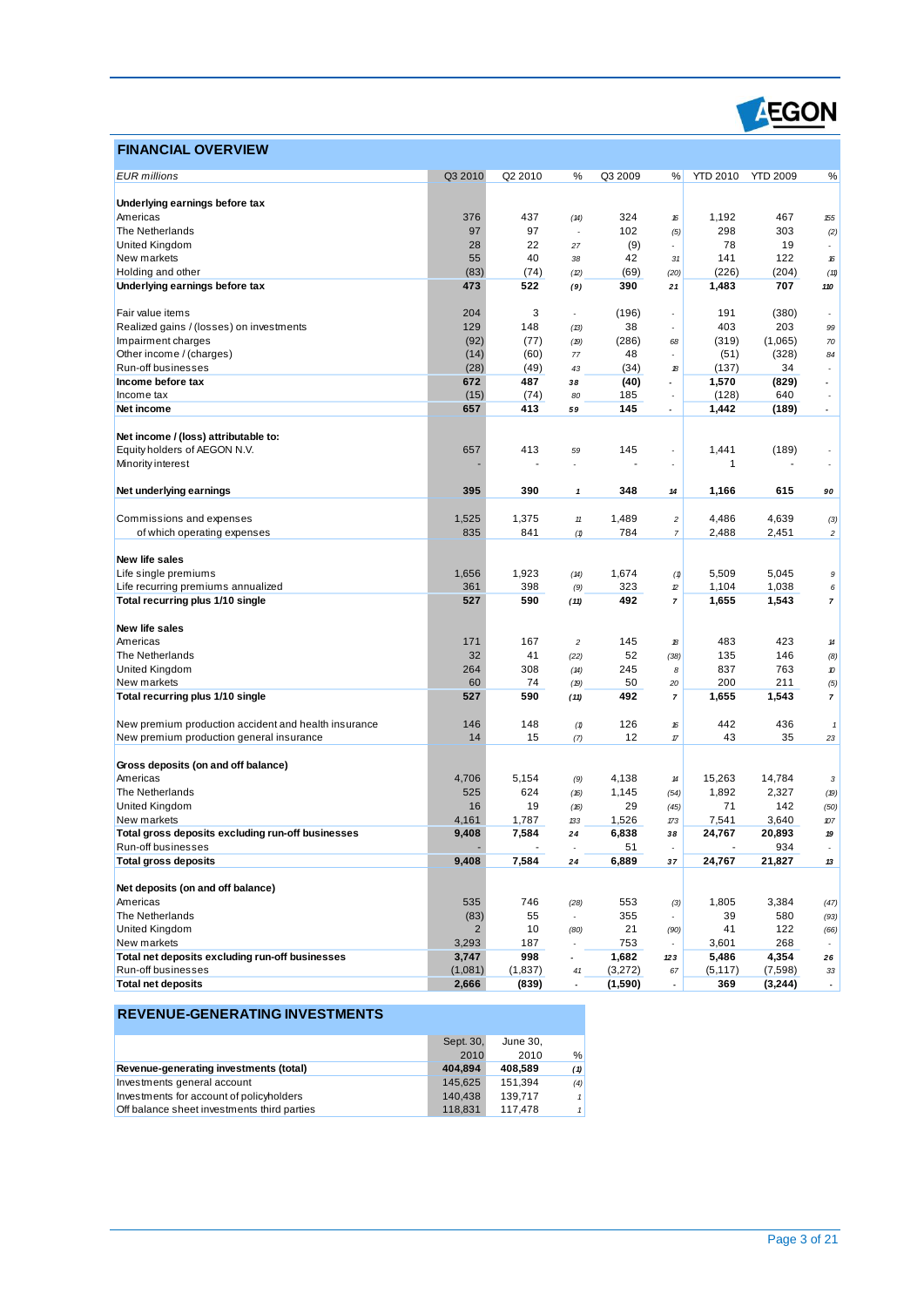

### **FINANCIAL OVERVIEW**

| <b>EUR</b> millions                                  | Q3 2010        | Q2 2010 | %                        | Q3 2009 | %                                                                                                              | <b>YTD 2010</b> | <b>YTD 2009</b> | %                           |
|------------------------------------------------------|----------------|---------|--------------------------|---------|----------------------------------------------------------------------------------------------------------------|-----------------|-----------------|-----------------------------|
|                                                      |                |         |                          |         |                                                                                                                |                 |                 |                             |
| Underlying earnings before tax                       |                |         |                          |         |                                                                                                                |                 |                 |                             |
| Americas                                             | 376            | 437     | (14)                     | 324     | 16                                                                                                             | 1,192           | 467             | 155                         |
| The Netherlands                                      | 97             | 97      | Ĭ.                       | 102     | (5)                                                                                                            | 298             | 303             | (2)                         |
| United Kingdom                                       | 28             | 22      | 27                       | (9)     |                                                                                                                | 78              | 19              |                             |
| New markets                                          | 55             | 40      | 38                       | 42      | 31                                                                                                             | 141             | 122             | 16                          |
| Holding and other                                    | (83)           | (74)    | (2)                      | (69)    | (20)                                                                                                           | (226)           | (204)           | (11)                        |
| Underlying earnings before tax                       | 473            | 522     | (9)                      | 390     | 21                                                                                                             | 1,483           | 707             | 110                         |
|                                                      |                |         |                          |         |                                                                                                                |                 |                 |                             |
| Fair value items                                     | 204            | 3       | $\overline{\phantom{a}}$ | (196)   | $\overline{\phantom{a}}$                                                                                       | 191             | (380)           | ٠                           |
| Realized gains / (losses) on investments             | 129            | 148     | (13)                     | 38      |                                                                                                                | 403             | 203             | 99                          |
| Impairment charges                                   | (92)           | (77)    | (19)                     | (286)   | 68                                                                                                             | (319)           | (1,065)         | $70\,$                      |
| Other income / (charges)                             | (14)           | (60)    | 77                       | 48      |                                                                                                                | (51)            | (328)           | 84                          |
| Run-off businesses                                   | (28)           | (49)    | 43                       | (34)    | 18                                                                                                             | (137)           | 34              | $\overline{a}$              |
| Income before tax                                    | 672            | 487     | 38                       | (40)    | $\overline{a}$                                                                                                 | 1,570           | (829)           |                             |
| Income tax                                           | (15)           | (74)    | 80                       | 185     |                                                                                                                | (128)           | 640             |                             |
| Net income                                           | 657            | 413     | 59                       | 145     | $\overline{\phantom{a}}$                                                                                       | 1,442           | (189)           |                             |
|                                                      |                |         |                          |         |                                                                                                                |                 |                 |                             |
| Net income / (loss) attributable to:                 |                |         |                          |         |                                                                                                                |                 |                 |                             |
| Equity holders of AEGON N.V.                         | 657            | 413     | 59                       | 145     |                                                                                                                | 1,441           | (189)           |                             |
| Minority interest                                    |                |         |                          |         |                                                                                                                | $\mathbf{1}$    |                 |                             |
|                                                      |                |         |                          |         |                                                                                                                |                 |                 |                             |
| Net underlying earnings                              | 395            | 390     |                          | 348     |                                                                                                                | 1,166           | 615             |                             |
|                                                      |                |         | 1                        |         | 14                                                                                                             |                 |                 | 90                          |
| Commissions and expenses                             |                |         |                          |         |                                                                                                                |                 |                 |                             |
|                                                      | 1,525          | 1,375   | $11\,$                   | 1,489   | $\overline{c}$                                                                                                 | 4,486           | 4,639           | (3)                         |
| of which operating expenses                          | 835            | 841     | (1)                      | 784     | $\overline{7}$                                                                                                 | 2,488           | 2,451           | $\boldsymbol{2}$            |
|                                                      |                |         |                          |         |                                                                                                                |                 |                 |                             |
| New life sales                                       |                |         |                          |         |                                                                                                                |                 |                 |                             |
| Life single premiums                                 | 1,656          | 1,923   | (14)                     | 1,674   | (1)                                                                                                            | 5,509           | 5,045           | 9                           |
| Life recurring premiums annualized                   | 361            | 398     | (9)                      | 323     | $\mathcal{D}% _{T}=\mathcal{D}_{T}\!\left( a,b\right) ,\ \mathcal{D}_{T}=\mathcal{D}_{T}\!\left( a,b\right) ,$ | 1,104           | 1,038           | 6                           |
| Total recurring plus 1/10 single                     | 527            | 590     | (11)                     | 492     | $\overline{7}$                                                                                                 | 1,655           | 1,543           | $\overline{7}$              |
|                                                      |                |         |                          |         |                                                                                                                |                 |                 |                             |
| New life sales                                       |                |         |                          |         |                                                                                                                |                 |                 |                             |
| Americas                                             | 171            | 167     | $\overline{c}$           | 145     | 18                                                                                                             | 483             | 423             | 14                          |
| The Netherlands                                      | 32             | 41      | (22)                     | 52      | (38)                                                                                                           | 135             | 146             | (8)                         |
| United Kingdom                                       | 264            | 308     | (14)                     | 245     | 8                                                                                                              | 837             | 763             | 10                          |
| New markets                                          | 60             | 74      | (19)                     | 50      | 20                                                                                                             | 200             | 211             | (5)                         |
| Total recurring plus 1/10 single                     | 527            | 590     | (11)                     | 492     | $\overline{7}$                                                                                                 | 1,655           | 1,543           | $\overline{7}$              |
|                                                      |                |         |                          |         |                                                                                                                |                 |                 |                             |
| New premium production accident and health insurance | 146            | 148     | (1)                      | 126     | 16                                                                                                             | 442             | 436             | $\mathbf{1}$                |
| New premium production general insurance             | 14             | 15      | (7)                      | 12      | $\sqrt{n}$                                                                                                     | 43              | 35              | 23                          |
|                                                      |                |         |                          |         |                                                                                                                |                 |                 |                             |
| Gross deposits (on and off balance)                  |                |         |                          |         |                                                                                                                |                 |                 |                             |
| Americas                                             | 4,706          | 5,154   | (9)                      | 4,138   | 14                                                                                                             | 15,263          | 14,784          | 3                           |
| The Netherlands                                      | 525            | 624     | (16)                     | 1,145   | (54)                                                                                                           | 1,892           | 2,327           | (19)                        |
| United Kingdom                                       | 16             | 19      | (16)                     | 29      | (45)                                                                                                           | 71              | 142             | (50)                        |
| New markets                                          | 4,161          | 1,787   | 133                      | 1,526   | 173                                                                                                            | 7,541           | 3,640           | 107                         |
| Total gross deposits excluding run-off businesses    | 9,408          | 7,584   | 24                       | 6,838   | 38                                                                                                             | 24,767          | 20,893          | 19                          |
| Run-off businesses                                   |                |         |                          | 51      |                                                                                                                |                 | 934             |                             |
| <b>Total gross deposits</b>                          | 9,408          | 7,584   | 24                       | 6,889   | 37                                                                                                             | 24,767          | 21,827          | 13                          |
|                                                      |                |         |                          |         |                                                                                                                |                 |                 |                             |
| Net deposits (on and off balance)                    |                |         |                          |         |                                                                                                                |                 |                 |                             |
| Americas                                             | 535            | 746     | (28)                     | 553     | (3)                                                                                                            | 1,805           | 3,384           | (47)                        |
| The Netherlands                                      | (83)           | 55      | $\overline{\phantom{a}}$ | 355     |                                                                                                                | 39              | 580             | (93)                        |
| United Kingdom                                       | $\overline{2}$ | 10      | (80)                     | 21      | (90)                                                                                                           | 41              | 122             | (66)                        |
| New markets                                          | 3,293          | 187     |                          | 753     |                                                                                                                | 3,601           | 268             |                             |
| Total net deposits excluding run-off businesses      | 3,747          | 998     | $\overline{\phantom{a}}$ | 1,682   | 123                                                                                                            | 5,486           | 4,354           | 26                          |
| Run-off businesses                                   | (1,081)        | (1,837) | 41                       | (3,272) | 67                                                                                                             | (5, 117)        | (7,598)         | 33                          |
| <b>Total net deposits</b>                            | 2,666          | (839)   | $\overline{\phantom{a}}$ | (1,590) | $\blacksquare$                                                                                                 | 369             | (3,244)         | $\mathcal{L}_{\mathcal{A}}$ |
|                                                      |                |         |                          |         |                                                                                                                |                 |                 |                             |

|                                             | Sept. 30, | June 30, |     |
|---------------------------------------------|-----------|----------|-----|
|                                             | 2010      | 2010     | %   |
| Revenue-generating investments (total)      | 404.894   | 408.589  | (1) |
| Investments general account                 | 145.625   | 151.394  | (4) |
| Investments for account of policyholders    | 140.438   | 139.717  | 1   |
| Off balance sheet investments third parties | 118.831   | 117.478  | 1   |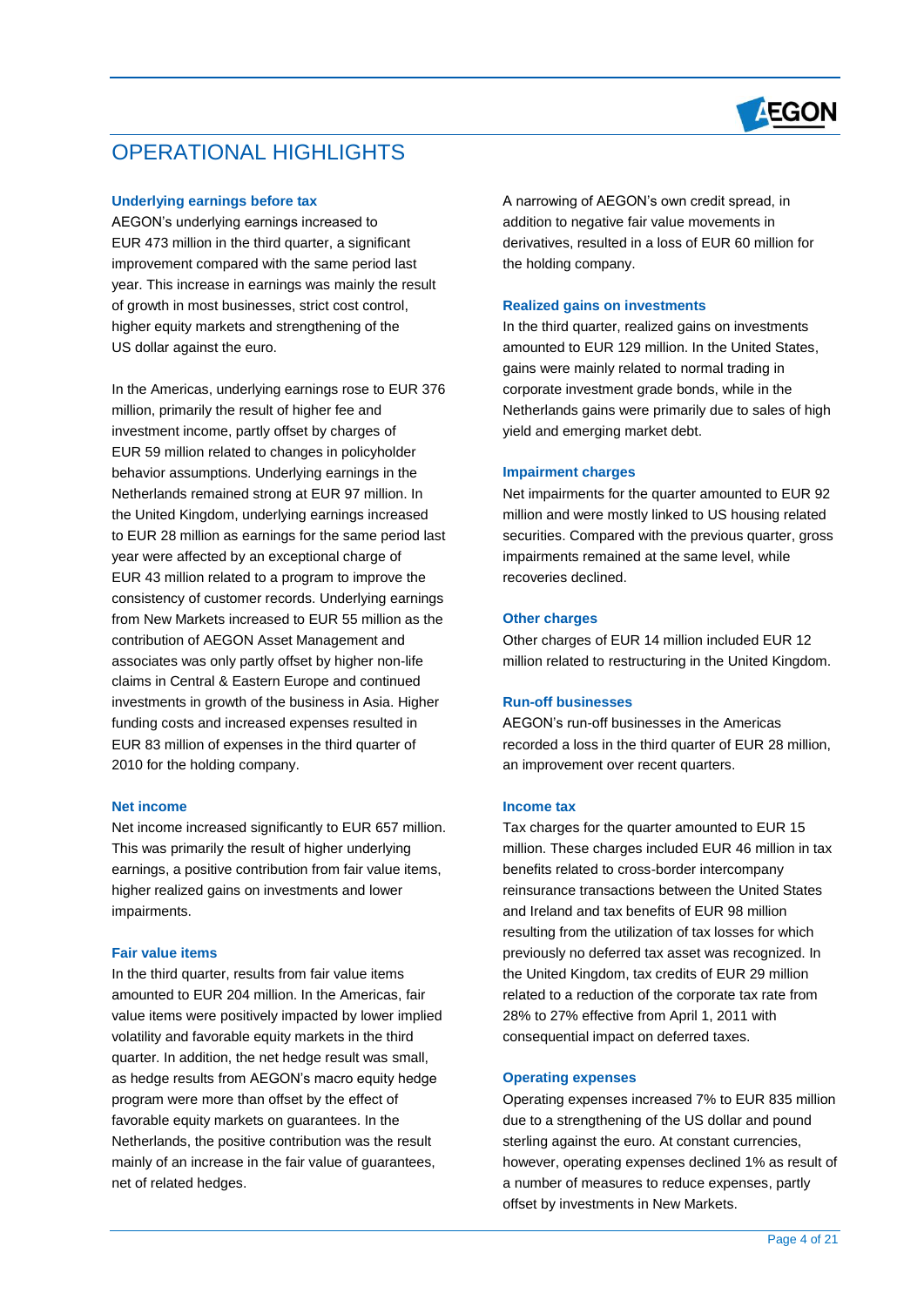

## OPERATIONAL HIGHLIGHTS

#### **Underlying earnings before tax**

AEGON's underlying earnings increased to EUR 473 million in the third quarter, a significant improvement compared with the same period last year. This increase in earnings was mainly the result of growth in most businesses, strict cost control, higher equity markets and strengthening of the US dollar against the euro.

In the Americas, underlying earnings rose to EUR 376 million, primarily the result of higher fee and investment income, partly offset by charges of EUR 59 million related to changes in policyholder behavior assumptions. Underlying earnings in the Netherlands remained strong at EUR 97 million. In the United Kingdom, underlying earnings increased to EUR 28 million as earnings for the same period last year were affected by an exceptional charge of EUR 43 million related to a program to improve the consistency of customer records. Underlying earnings from New Markets increased to EUR 55 million as the contribution of AEGON Asset Management and associates was only partly offset by higher non-life claims in Central & Eastern Europe and continued investments in growth of the business in Asia. Higher funding costs and increased expenses resulted in EUR 83 million of expenses in the third quarter of 2010 for the holding company.

#### **Net income**

Net income increased significantly to EUR 657 million. This was primarily the result of higher underlying earnings, a positive contribution from fair value items, higher realized gains on investments and lower impairments.

#### **Fair value items**

In the third quarter, results from fair value items amounted to EUR 204 million. In the Americas, fair value items were positively impacted by lower implied volatility and favorable equity markets in the third quarter. In addition, the net hedge result was small, as hedge results from AEGON's macro equity hedge program were more than offset by the effect of favorable equity markets on guarantees. In the Netherlands, the positive contribution was the result mainly of an increase in the fair value of guarantees, net of related hedges.

A narrowing of AEGON's own credit spread, in addition to negative fair value movements in derivatives, resulted in a loss of EUR 60 million for the holding company.

#### **Realized gains on investments**

In the third quarter, realized gains on investments amounted to EUR 129 million. In the United States, gains were mainly related to normal trading in corporate investment grade bonds, while in the Netherlands gains were primarily due to sales of high yield and emerging market debt.

#### **Impairment charges**

Net impairments for the quarter amounted to EUR 92 million and were mostly linked to US housing related securities. Compared with the previous quarter, gross impairments remained at the same level, while recoveries declined.

#### **Other charges**

Other charges of EUR 14 million included EUR 12 million related to restructuring in the United Kingdom.

#### **Run-off businesses**

AEGON's run-off businesses in the Americas recorded a loss in the third quarter of EUR 28 million, an improvement over recent quarters.

#### **Income tax**

Tax charges for the quarter amounted to EUR 15 million. These charges included EUR 46 million in tax benefits related to cross-border intercompany reinsurance transactions between the United States and Ireland and tax benefits of EUR 98 million resulting from the utilization of tax losses for which previously no deferred tax asset was recognized. In the United Kingdom, tax credits of EUR 29 million related to a reduction of the corporate tax rate from 28% to 27% effective from April 1, 2011 with consequential impact on deferred taxes.

#### **Operating expenses**

Operating expenses increased 7% to EUR 835 million due to a strengthening of the US dollar and pound sterling against the euro. At constant currencies, however, operating expenses declined 1% as result of a number of measures to reduce expenses, partly offset by investments in New Markets.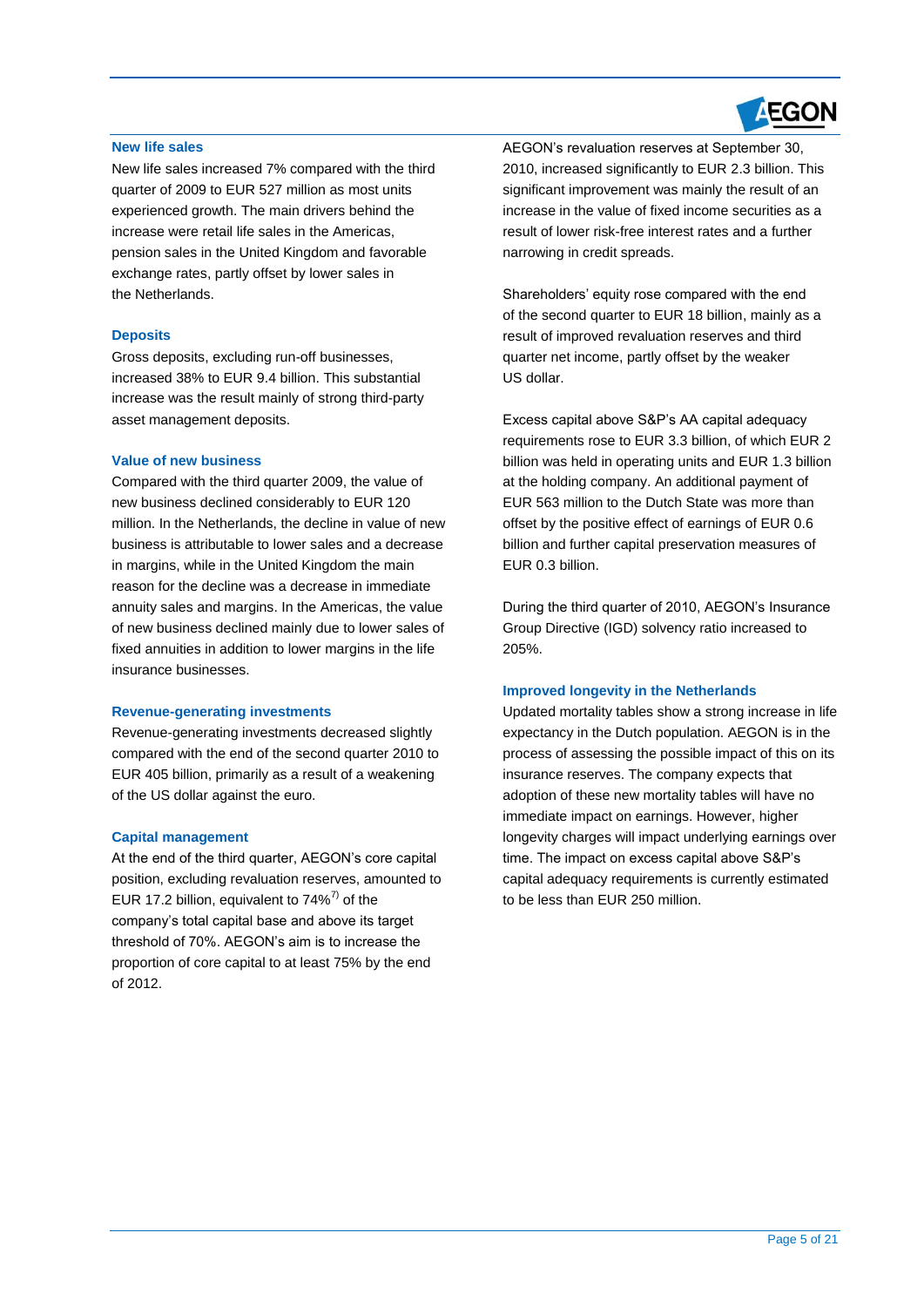# **AEGON**

#### **New life sales**

New life sales increased 7% compared with the third quarter of 2009 to EUR 527 million as most units experienced growth. The main drivers behind the increase were retail life sales in the Americas, pension sales in the United Kingdom and favorable exchange rates, partly offset by lower sales in the Netherlands.

#### **Deposits**

Gross deposits, excluding run-off businesses, increased 38% to EUR 9.4 billion. This substantial increase was the result mainly of strong third-party asset management deposits.

#### **Value of new business**

Compared with the third quarter 2009, the value of new business declined considerably to EUR 120 million. In the Netherlands, the decline in value of new business is attributable to lower sales and a decrease in margins, while in the United Kingdom the main reason for the decline was a decrease in immediate annuity sales and margins. In the Americas, the value of new business declined mainly due to lower sales of fixed annuities in addition to lower margins in the life insurance businesses.

#### **Revenue-generating investments**

Revenue-generating investments decreased slightly compared with the end of the second quarter 2010 to EUR 405 billion, primarily as a result of a weakening of the US dollar against the euro.

#### **Capital management**

At the end of the third quarter, AEGON's core capital position, excluding revaluation reserves, amounted to EUR 17.2 billion, equivalent to  $74\%$ <sup>7)</sup> of the company's total capital base and above its target threshold of 70%. AEGON's aim is to increase the proportion of core capital to at least 75% by the end of 2012.

AEGON's revaluation reserves at September 30, 2010, increased significantly to EUR 2.3 billion. This significant improvement was mainly the result of an increase in the value of fixed income securities as a result of lower risk-free interest rates and a further narrowing in credit spreads.

Shareholders' equity rose compared with the end of the second quarter to EUR 18 billion, mainly as a result of improved revaluation reserves and third quarter net income, partly offset by the weaker US dollar.

Excess capital above S&P's AA capital adequacy requirements rose to EUR 3.3 billion, of which EUR 2 billion was held in operating units and EUR 1.3 billion at the holding company. An additional payment of EUR 563 million to the Dutch State was more than offset by the positive effect of earnings of EUR 0.6 billion and further capital preservation measures of EUR 0.3 billion.

During the third quarter of 2010, AEGON's Insurance Group Directive (IGD) solvency ratio increased to 205%.

#### **Improved longevity in the Netherlands**

Updated mortality tables show a strong increase in life expectancy in the Dutch population. AEGON is in the process of assessing the possible impact of this on its insurance reserves. The company expects that adoption of these new mortality tables will have no immediate impact on earnings. However, higher longevity charges will impact underlying earnings over time. The impact on excess capital above S&P's capital adequacy requirements is currently estimated to be less than EUR 250 million.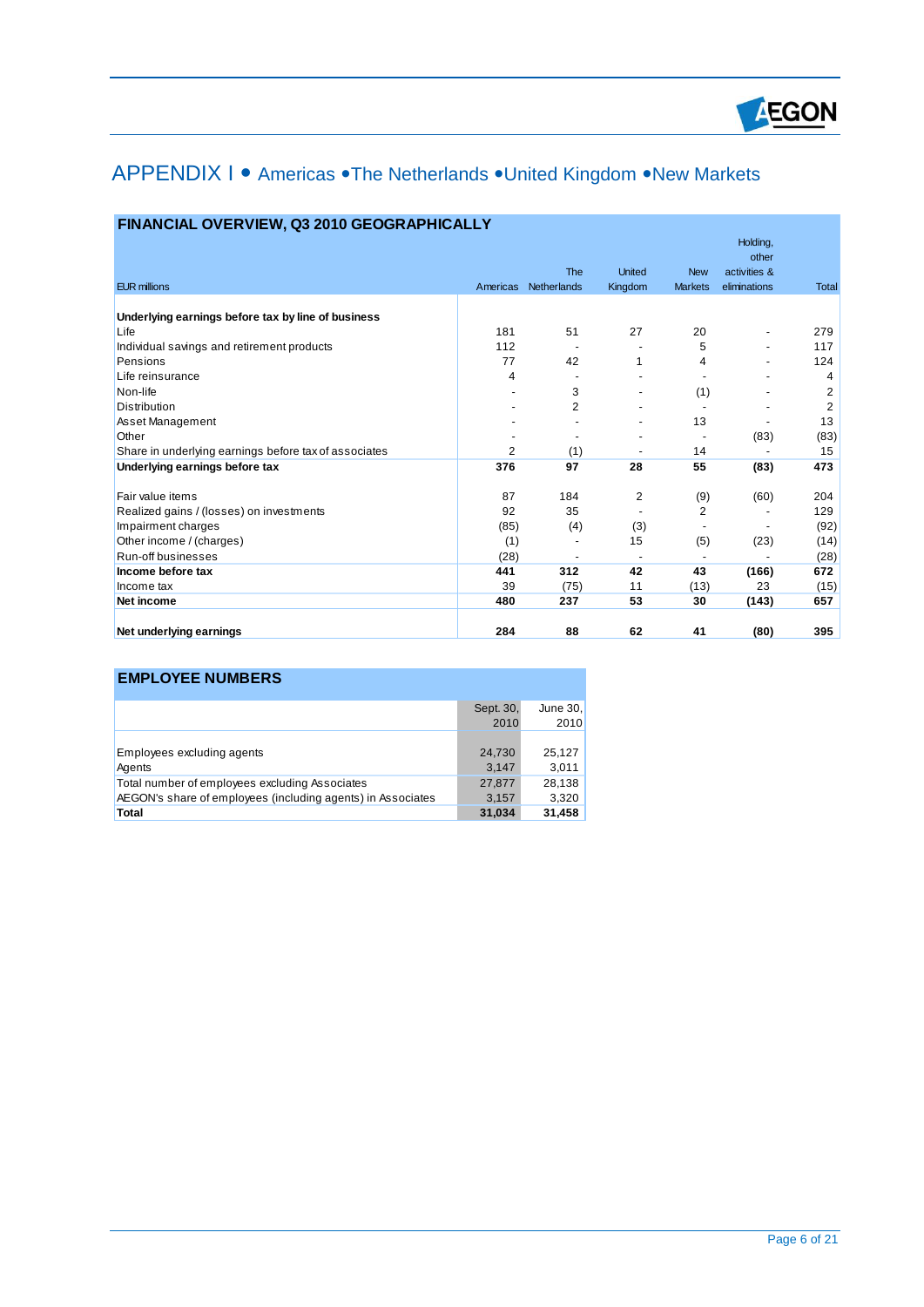

# APPENDIX I · Americas · The Netherlands · United Kingdom · New Markets

|                                                       |          | The            | <b>United</b>            | <b>New</b>               | Holding,<br>other<br>activities & |                |
|-------------------------------------------------------|----------|----------------|--------------------------|--------------------------|-----------------------------------|----------------|
| <b>EUR millions</b>                                   | Americas | Netherlands    | Kingdom                  | <b>Markets</b>           | eliminations                      | <b>Total</b>   |
| Underlying earnings before tax by line of business    |          |                |                          |                          |                                   |                |
| Life                                                  | 181      | 51             | 27                       | 20                       |                                   | 279            |
| Individual savings and retirement products            | 112      |                |                          | 5                        |                                   | 117            |
| Pensions                                              | 77       | 42             |                          | 4                        |                                   | 124            |
| Life reinsurance                                      | 4        |                |                          | $\overline{\phantom{a}}$ |                                   | 4              |
| Non-life                                              |          | 3              |                          | (1)                      |                                   | $\overline{2}$ |
| <b>Distribution</b>                                   |          | $\overline{2}$ |                          |                          |                                   | $\overline{2}$ |
| Asset Management                                      |          |                |                          | 13                       |                                   | 13             |
| Other                                                 |          |                |                          |                          | (83)                              | (83)           |
| Share in underlying earnings before tax of associates | 2        | (1)            | $\overline{\phantom{a}}$ | 14                       |                                   | 15             |
| Underlying earnings before tax                        | 376      | 97             | 28                       | 55                       | (83)                              | 473            |
| Fair value items                                      | 87       | 184            | 2                        | (9)                      | (60)                              | 204            |
| Realized gains / (losses) on investments              | 92       | 35             |                          | 2                        |                                   | 129            |
| Impairment charges                                    | (85)     | (4)            | (3)                      |                          |                                   | (92)           |
| Other income / (charges)                              | (1)      |                | 15                       | (5)                      | (23)                              | (14)           |
| Run-off businesses                                    | (28)     |                |                          | $\overline{\phantom{a}}$ |                                   | (28)           |
| Income before tax                                     | 441      | 312            | 42                       | 43                       | (166)                             | 672            |
| Income tax                                            | 39       | (75)           | 11                       | (13)                     | 23                                | (15)           |
| Net income                                            | 480      | 237            | 53                       | 30                       | (143)                             | 657            |
| Net underlying earnings                               | 284      | 88             | 62                       | 41                       | (80)                              | 395            |

### **FINANCIAL OVERVIEW, Q3 2010 GEOGRAPHICALLY**

### **EMPLOYEE NUMBERS**

| Sept. 30, | June 30, |
|-----------|----------|
| 2010      | 2010     |
|           |          |
| 24,730    | 25.127   |
| 3.147     | 3,011    |
| 27,877    | 28,138   |
| 3,157     | 3,320    |
| 31,034    | 31,458   |
|           |          |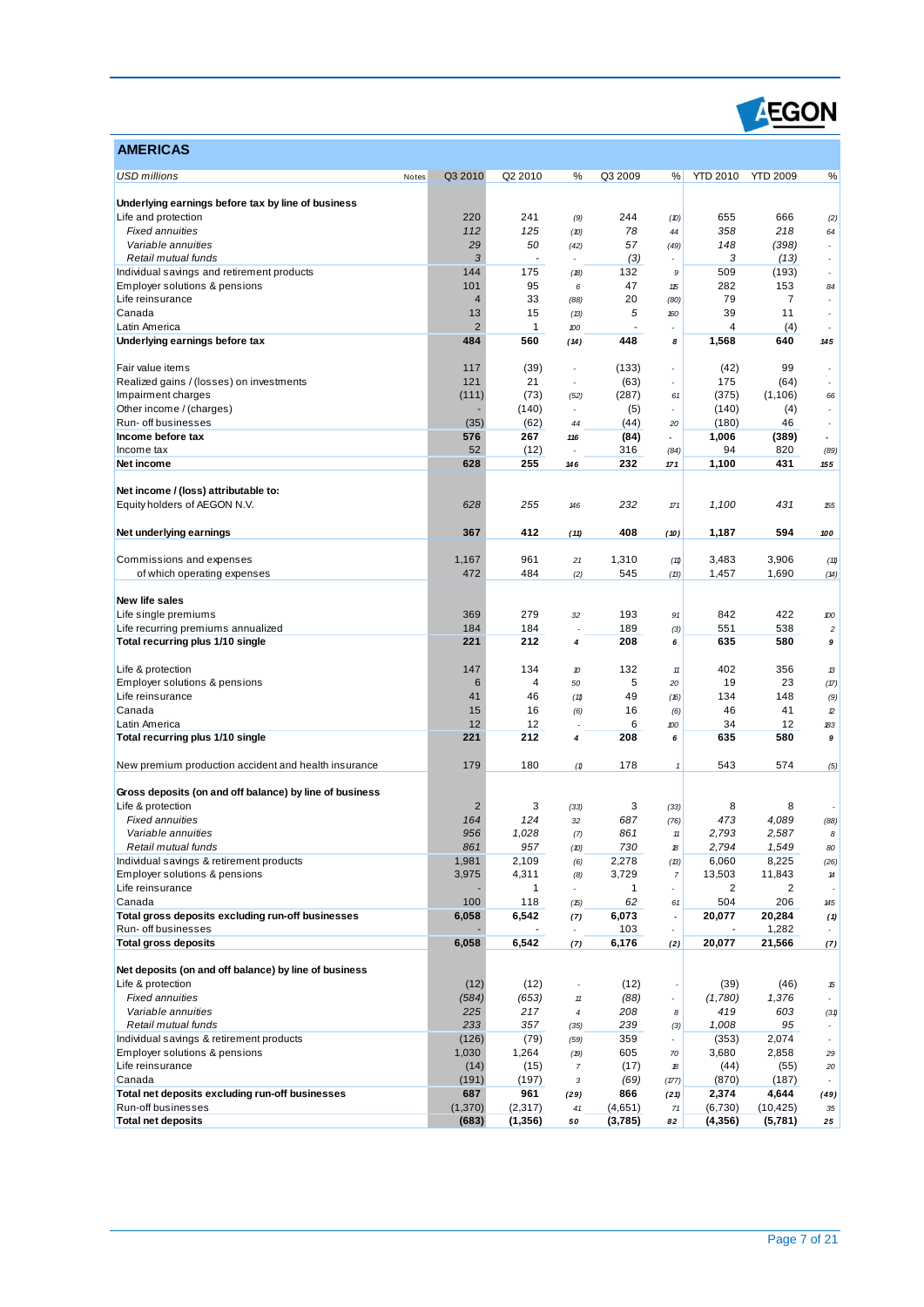

| <b>AMERICAS</b>                                                           |                      |                    |                          |              |                          |                 |                      |                          |
|---------------------------------------------------------------------------|----------------------|--------------------|--------------------------|--------------|--------------------------|-----------------|----------------------|--------------------------|
| <b>USD millions</b><br>Notes                                              | Q3 2010              | Q2 2010            | %                        | Q3 2009      | %                        | <b>YTD 2010</b> | <b>YTD 2009</b>      | %                        |
|                                                                           |                      |                    |                          |              |                          |                 |                      |                          |
| Underlying earnings before tax by line of business<br>Life and protection | 220                  | 241                | (9)                      | 244          | (10)                     | 655             | 666                  | (2)                      |
| <b>Fixed annuities</b>                                                    | 112                  | 125                | (10)                     | 78           | 44                       | 358             | 218                  | 64                       |
| Variable annuities                                                        | 29                   | 50                 | (42)                     | 57           | (49)                     | 148             | (398)                |                          |
| Retail mutual funds                                                       | 3                    | ÷,                 |                          | (3)          | $\overline{a}$           | 3               | (13)                 | $\overline{\phantom{a}}$ |
| Individual savings and retirement products                                | 144                  | 175                | (18)                     | 132          | 9                        | 509             | (193)                |                          |
| Employer solutions & pensions                                             | 101                  | 95                 | 6                        | 47           | 115                      | 282             | 153                  | 84                       |
| Life reinsurance                                                          | $\overline{4}$       | 33                 | (88)                     | 20<br>5      | (80)                     | 79<br>39        | $\overline{7}$<br>11 |                          |
| Canada<br>Latin America                                                   | 13<br>$\overline{2}$ | 15<br>$\mathbf{1}$ | (13)<br>100              |              | 160                      | 4               | (4)                  |                          |
| Underlying earnings before tax                                            | 484                  | 560                | (14)                     | 448          | 8                        | 1,568           | 640                  | 145                      |
|                                                                           |                      |                    |                          |              |                          |                 |                      |                          |
| Fair value items                                                          | 117                  | (39)               |                          | (133)        |                          | (42)            | 99                   |                          |
| Realized gains / (losses) on investments                                  | 121                  | 21                 | $\overline{\phantom{a}}$ | (63)         | $\overline{\phantom{a}}$ | 175             | (64)                 | $\overline{a}$           |
| Impairment charges                                                        | (111)                | (73)               | (52)                     | (287)        | 61                       | (375)           | (1,106)              | 66                       |
| Other income / (charges)                                                  |                      | (140)              | $\overline{\phantom{a}}$ | (5)          | $\overline{\phantom{a}}$ | (140)           | (4)                  | $\overline{\phantom{a}}$ |
| Run- off businesses<br>Income before tax                                  | (35)<br>576          | (62)<br>267        | 44                       | (44)         | 20<br>$\overline{a}$     | (180)           | 46                   | $\overline{\phantom{a}}$ |
| Income tax                                                                | 52                   | (12)               | 116<br>÷,                | (84)<br>316  | (84)                     | 1,006<br>94     | (389)<br>820         | (89)                     |
| Net income                                                                | 628                  | 255                | 146                      | 232          | 171                      | 1,100           | 431                  | 155                      |
|                                                                           |                      |                    |                          |              |                          |                 |                      |                          |
| Net income / (loss) attributable to:                                      |                      |                    |                          |              |                          |                 |                      |                          |
| Equity holders of AEGON N.V.                                              | 628                  | 255                | 146                      | 232          | 171                      | 1,100           | 431                  | 155                      |
|                                                                           |                      |                    |                          |              |                          |                 |                      |                          |
| Net underlying earnings                                                   | 367                  | 412                | (11)                     | 408          | (10)                     | 1,187           | 594                  | 100                      |
| Commissions and expenses                                                  | 1,167                | 961                | 21                       | 1,310        | (11)                     | 3,483           | 3,906                | (11)                     |
| of which operating expenses                                               | 472                  | 484                | (2)                      | 545          | (13)                     | 1,457           | 1,690                | (14)                     |
|                                                                           |                      |                    |                          |              |                          |                 |                      |                          |
| New life sales                                                            |                      |                    |                          |              |                          |                 |                      |                          |
| Life single premiums                                                      | 369                  | 279                | 32                       | 193          | 91                       | 842             | 422                  | 100                      |
| Life recurring premiums annualized                                        | 184                  | 184                | Ĭ.                       | 189          | (3)                      | 551             | 538                  | $\overline{c}$           |
| Total recurring plus 1/10 single                                          | 221                  | 212                | $\pmb{4}$                | 208          | 6                        | 635             | 580                  | 9                        |
| Life & protection                                                         | 147                  | 134                | $\boldsymbol{v}$         | 132          | 11                       | 402             | 356                  | 13                       |
| Employer solutions & pensions                                             | 6                    | $\overline{4}$     | 50                       | 5            | 20                       | 19              | 23                   | (17)                     |
| Life reinsurance                                                          | 41                   | 46                 | (11)                     | 49           | (16)                     | 134             | 148                  | (9)                      |
| Canada                                                                    | 15                   | 16                 | (6)                      | 16           | (6)                      | 46              | 41                   | 12                       |
| Latin America                                                             | 12                   | 12                 |                          | 6            | 100                      | 34              | 12                   | 183                      |
| Total recurring plus 1/10 single                                          | 221                  | 212                | 4                        | 208          | 6                        | 635             | 580                  | 9                        |
| New premium production accident and health insurance                      | 179                  | 180                | (1)                      | 178          | $\pmb{\mathcal{I}}$      | 543             | 574                  | (5)                      |
|                                                                           |                      |                    |                          |              |                          |                 |                      |                          |
| Gross deposits (on and off balance) by line of business                   |                      |                    |                          |              |                          |                 |                      |                          |
| Life & protection                                                         | $\overline{2}$       | 3                  | (33)                     | 3            | (33)                     | 8               | 8                    |                          |
| <b>Fixed annuities</b><br>Variable annuities                              | 164<br>956           | 124<br>1,028       | 32                       | 687<br>861   | (76)                     | 473<br>2,793    | 4,089<br>2,587       | (88)<br>8                |
| Retail mutual funds                                                       | 861                  | 957                | (7)<br>(D)               | 730          | 11<br>18                 | 2,794           | 1,549                | 80                       |
| Individual savings & retirement products                                  | 1,981                | 2,109              | (6)                      | 2,278        | (13)                     | 6,060           | 8,225                | (26)                     |
| Employer solutions & pensions                                             | 3,975                | 4,311              | (8)                      | 3,729        | $\boldsymbol{7}$         | 13,503          | 11,843               | 14                       |
| Life reinsurance                                                          |                      | $\mathbf{1}$       | $\overline{\phantom{a}}$ | $\mathbf{1}$ | $\overline{\phantom{a}}$ | 2               | $\overline{2}$       |                          |
| Canada                                                                    | 100                  | 118                | (15)                     | 62           | 61                       | 504             | 206                  | 145                      |
| Total gross deposits excluding run-off businesses                         | 6,058                | 6,542              | (7)                      | 6,073        | $\overline{\phantom{a}}$ | 20,077          | 20,284               | (1)                      |
| Run- off businesses                                                       |                      |                    |                          | 103          | $\overline{a}$           |                 | 1,282                |                          |
| <b>Total gross deposits</b>                                               | 6,058                | 6,542              | (7)                      | 6,176        | (2)                      | 20,077          | 21,566               | (7)                      |
| Net deposits (on and off balance) by line of business                     |                      |                    |                          |              |                          |                 |                      |                          |
| Life & protection                                                         | (12)                 | (12)               | ٠                        | (12)         |                          | (39)            | (46)                 | 15                       |
| <b>Fixed annuities</b>                                                    | (584)                | (653)              | $11\,$                   | (88)         | ÷                        | (1,780)         | 1,376                | $\overline{\phantom{a}}$ |
| Variable annuities                                                        | 225                  | 217                | $\boldsymbol{4}$         | 208          | 8                        | 419             | 603                  | (31)                     |
| Retail mutual funds                                                       | 233                  | 357                | (35)                     | 239          | (3)                      | 1,008           | 95                   |                          |
| Individual savings & retirement products                                  | (126)                | (79)               | (59)                     | 359          |                          | (353)           | 2,074                |                          |
| Employer solutions & pensions                                             | 1,030                | 1,264              | (19)                     | 605          | 70                       | 3,680           | 2,858                | 29                       |
| Life reinsurance<br>Canada                                                | (14)<br>(191)        | (15)               | $\boldsymbol{7}$         | (17)<br>(69) | 18                       | (44)            | (55)                 | 20                       |
| Total net deposits excluding run-off businesses                           | 687                  | (197)<br>961       | 3<br>(29)                | 866          | (177)<br>(21)            | (870)<br>2,374  | (187)<br>4,644       | (49)                     |
| Run-off businesses                                                        | (1, 370)             | (2, 317)           | 41                       | (4,651)      | 71                       | (6,730)         | (10, 425)            | 35                       |
| <b>Total net deposits</b>                                                 | (683)                | (1,356)            | 50                       | (3,785)      | 82                       | (4,356)         | (5,781)              | 25                       |
|                                                                           |                      |                    |                          |              |                          |                 |                      |                          |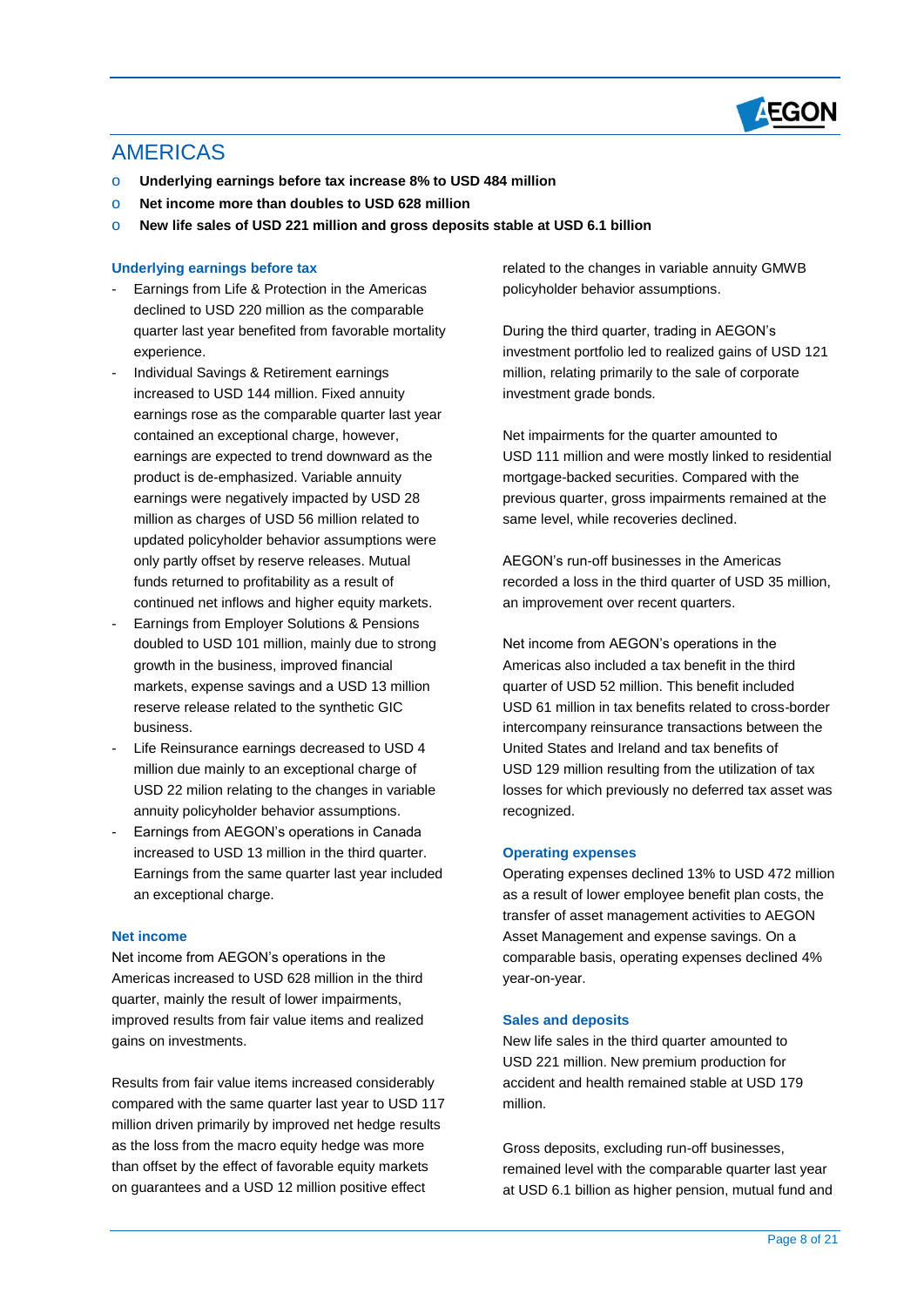

### AMERICAS

- o **Underlying earnings before tax increase 8% to USD 484 million**
- o **Net income more than doubles to USD 628 million**
- o **New life sales of USD 221 million and gross deposits stable at USD 6.1 billion**

#### **Underlying earnings before tax**

- Earnings from Life & Protection in the Americas declined to USD 220 million as the comparable quarter last year benefited from favorable mortality experience.
- Individual Savings & Retirement earnings increased to USD 144 million. Fixed annuity earnings rose as the comparable quarter last year contained an exceptional charge, however, earnings are expected to trend downward as the product is de-emphasized. Variable annuity earnings were negatively impacted by USD 28 million as charges of USD 56 million related to updated policyholder behavior assumptions were only partly offset by reserve releases. Mutual funds returned to profitability as a result of continued net inflows and higher equity markets.
- Earnings from Employer Solutions & Pensions doubled to USD 101 million, mainly due to strong growth in the business, improved financial markets, expense savings and a USD 13 million reserve release related to the synthetic GIC business.
- Life Reinsurance earnings decreased to USD 4 million due mainly to an exceptional charge of USD 22 milion relating to the changes in variable annuity policyholder behavior assumptions.
- Earnings from AEGON's operations in Canada increased to USD 13 million in the third quarter. Earnings from the same quarter last year included an exceptional charge.

#### **Net income**

Net income from AEGON's operations in the Americas increased to USD 628 million in the third quarter, mainly the result of lower impairments, improved results from fair value items and realized gains on investments.

Results from fair value items increased considerably compared with the same quarter last year to USD 117 million driven primarily by improved net hedge results as the loss from the macro equity hedge was more than offset by the effect of favorable equity markets on guarantees and a USD 12 million positive effect

related to the changes in variable annuity GMWB policyholder behavior assumptions.

During the third quarter, trading in AEGON's investment portfolio led to realized gains of USD 121 million, relating primarily to the sale of corporate investment grade bonds.

Net impairments for the quarter amounted to USD 111 million and were mostly linked to residential mortgage-backed securities. Compared with the previous quarter, gross impairments remained at the same level, while recoveries declined.

AEGON's run-off businesses in the Americas recorded a loss in the third quarter of USD 35 million, an improvement over recent quarters.

Net income from AEGON's operations in the Americas also included a tax benefit in the third quarter of USD 52 million. This benefit included USD 61 million in tax benefits related to cross-border intercompany reinsurance transactions between the United States and Ireland and tax benefits of USD 129 million resulting from the utilization of tax losses for which previously no deferred tax asset was recognized.

#### **Operating expenses**

Operating expenses declined 13% to USD 472 million as a result of lower employee benefit plan costs, the transfer of asset management activities to AEGON Asset Management and expense savings. On a comparable basis, operating expenses declined 4% year-on-year.

#### **Sales and deposits**

New life sales in the third quarter amounted to USD 221 million. New premium production for accident and health remained stable at USD 179 million.

Gross deposits, excluding run-off businesses, remained level with the comparable quarter last year at USD 6.1 billion as higher pension, mutual fund and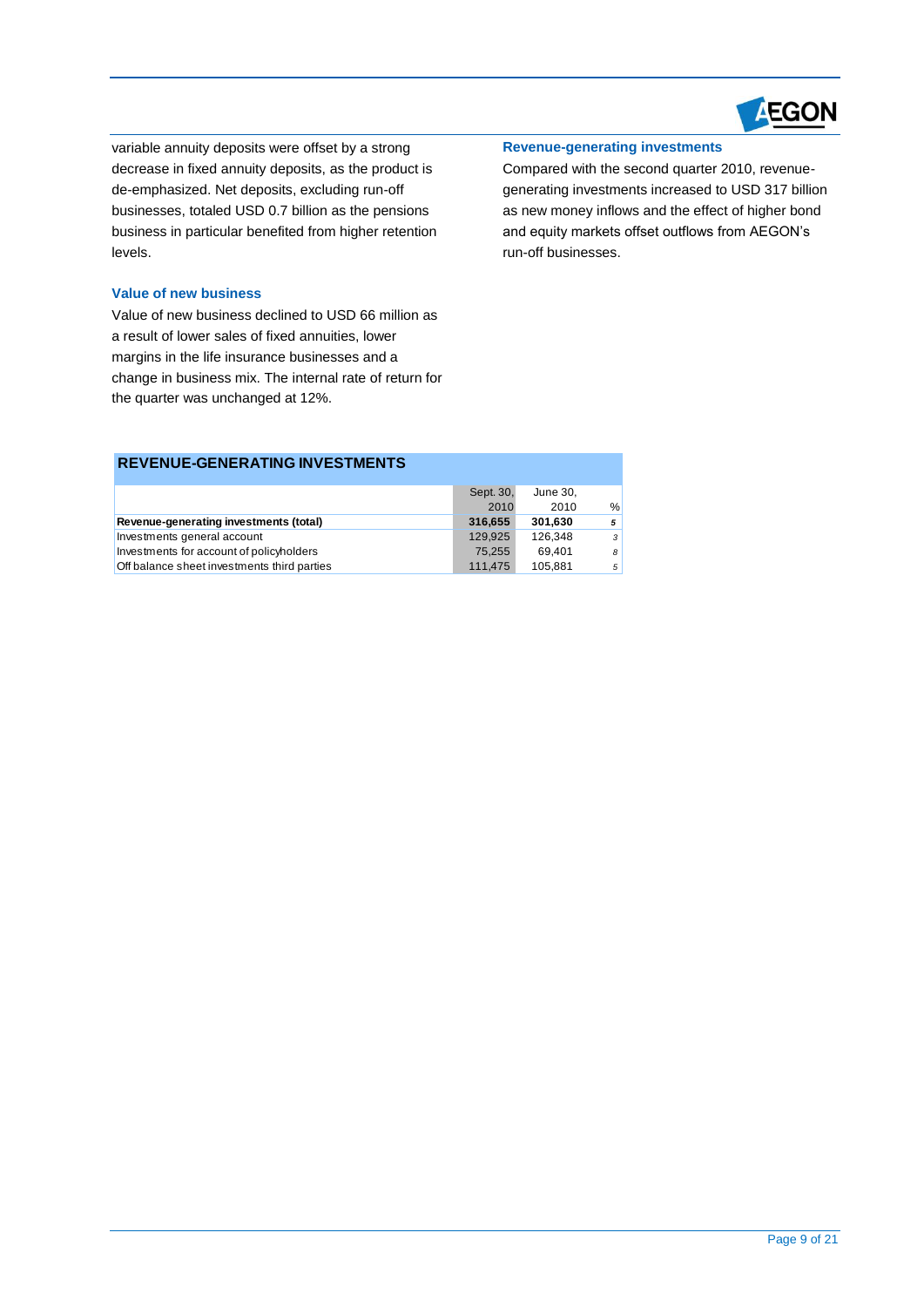

variable annuity deposits were offset by a strong decrease in fixed annuity deposits, as the product is de-emphasized. Net deposits, excluding run-off businesses, totaled USD 0.7 billion as the pensions business in particular benefited from higher retention levels.

#### **Value of new business**

Value of new business declined to USD 66 million as a result of lower sales of fixed annuities, lower margins in the life insurance businesses and a change in business mix. The internal rate of return for the quarter was unchanged at 12%.

#### **Revenue-generating investments**

Compared with the second quarter 2010, revenuegenerating investments increased to USD 317 billion as new money inflows and the effect of higher bond and equity markets offset outflows from AEGON's run-off businesses.

|                                             | Sept. 30, | June 30, |   |
|---------------------------------------------|-----------|----------|---|
|                                             |           |          |   |
|                                             | 2010      | 2010     | % |
| Revenue-generating investments (total)      | 316.655   | 301.630  | 5 |
| Investments general account                 | 129.925   | 126.348  | 3 |
| Investments for account of policyholders    | 75.255    | 69.401   | 8 |
| Off balance sheet investments third parties | 111.475   | 105.881  | 5 |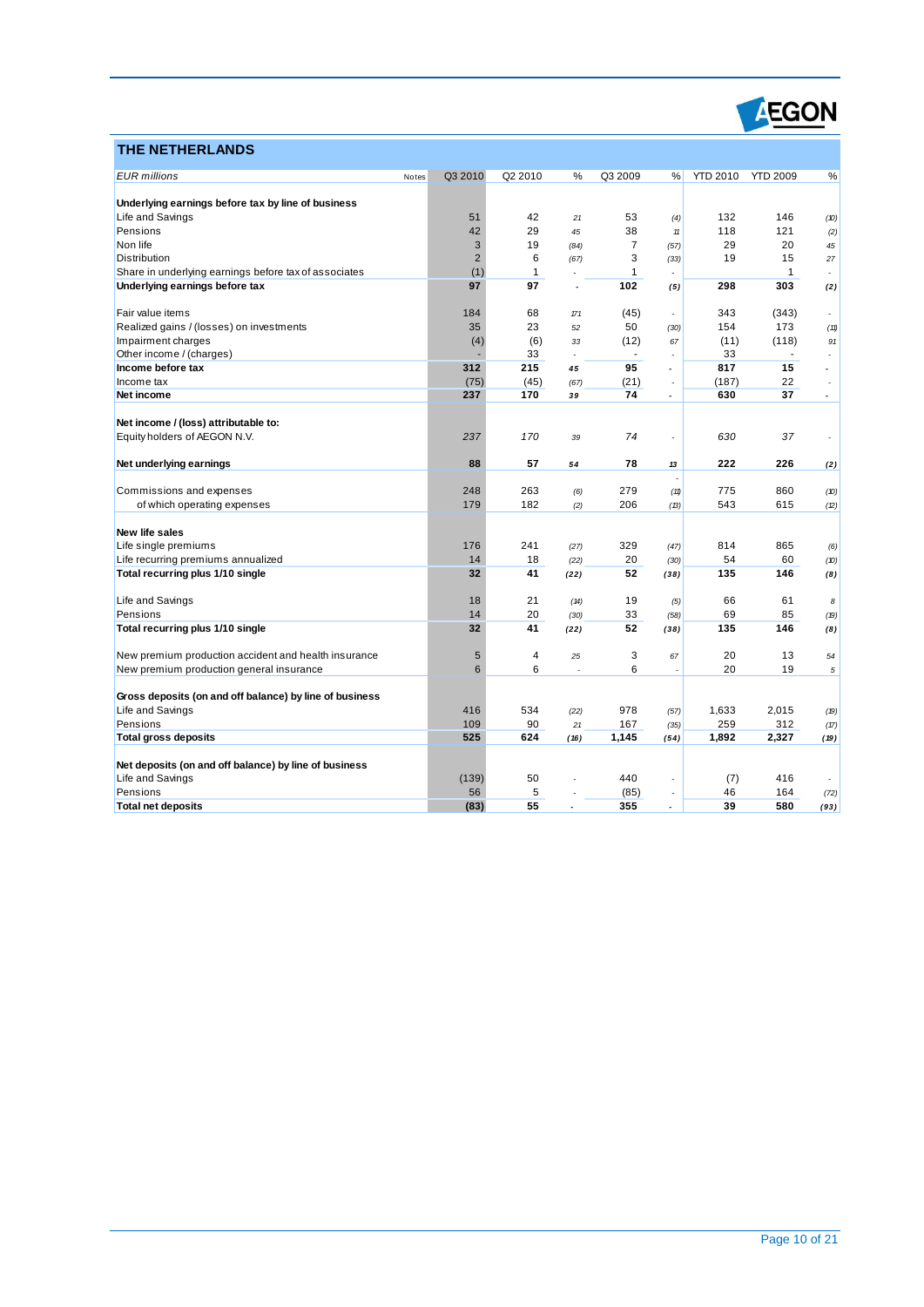

### **THE NETHERLANDS**

| <u>IHE NEIHERLANDS</u>                                               |                  |                     |                |                |                          |                 |                 |                          |
|----------------------------------------------------------------------|------------------|---------------------|----------------|----------------|--------------------------|-----------------|-----------------|--------------------------|
| <b>EUR</b> millions                                                  | Q3 2010<br>Notes | Q2 2010             | %              | Q3 2009        | %                        | <b>YTD 2010</b> | <b>YTD 2009</b> | %                        |
| Underlying earnings before tax by line of business                   |                  |                     |                |                |                          |                 |                 |                          |
| Life and Savings                                                     |                  | 51<br>42            | 21             | 53             |                          | 132             | 146             |                          |
| Pensions                                                             |                  | 42<br>29            | 45             | 38             | (4)<br>$11$              | 118             | 121             | (D)                      |
| Non life                                                             |                  | $\sqrt{3}$<br>19    |                | $\overline{7}$ |                          | 29              | 20              | (2)                      |
| <b>Distribution</b>                                                  |                  | $\overline{2}$<br>6 | (84)<br>(67)   | 3              | (57)<br>(33)             | 19              | 15              | 45<br>27                 |
| Share in underlying earnings before tax of associates                |                  | $\mathbf{1}$<br>(1) |                | 1              |                          |                 | $\mathbf{1}$    |                          |
| Underlying earnings before tax                                       |                  | 97<br>97            | J.             | 102            | (5)                      | 298             | 303             | (2)                      |
|                                                                      |                  |                     |                |                |                          |                 |                 |                          |
| Fair value items                                                     | 184              | 68                  | 171            | (45)           |                          | 343             | (343)           | $\overline{\phantom{a}}$ |
| Realized gains / (losses) on investments                             |                  | 35<br>23            | 52             | 50             | (30)                     | 154             | 173             | (11)                     |
| Impairment charges                                                   |                  | (4)<br>(6)          | 33             | (12)           | 67                       | (11)            | (118)           | 91                       |
| Other income / (charges)                                             |                  | 33                  | $\overline{a}$ | ÷.             | ÷,                       | 33              |                 | $\overline{a}$           |
| Income before tax                                                    | 312              | 215                 | 45             | 95             | $\overline{\phantom{a}}$ | 817             | 15              |                          |
| Income tax                                                           |                  | (75)<br>(45)        | (67)           | (21)           | $\overline{\phantom{a}}$ | (187)           | 22              | $\overline{a}$           |
| Net income                                                           | 237              | 170                 | 39             | 74             | $\overline{a}$           | 630             | 37              | $\overline{\phantom{a}}$ |
|                                                                      |                  |                     |                |                |                          |                 |                 |                          |
| Net income / (loss) attributable to:<br>Equity holders of AEGON N.V. | 237              | 170                 | 39             | 74             |                          | 630             | 37              |                          |
|                                                                      |                  |                     |                |                |                          |                 |                 |                          |
| Net underlying earnings                                              |                  | 88<br>57            | 54             | 78             | 13                       | 222             | 226             | (2)                      |
| Commissions and expenses                                             | 248              | 263                 | (6)            | 279            | (11)                     | 775             | 860             | (D)                      |
| of which operating expenses                                          | 179              | 182                 | (2)            | 206            | (B)                      | 543             | 615             | (2)                      |
|                                                                      |                  |                     |                |                |                          |                 |                 |                          |
| New life sales                                                       |                  |                     |                |                |                          |                 |                 |                          |
| Life single premiums                                                 | 176              | 241                 | (27)           | 329            | (47)                     | 814             | 865             | (6)                      |
| Life recurring premiums annualized                                   |                  | 14<br>18            | (22)           | 20             | (30)                     | 54              | 60              | (10)                     |
| Total recurring plus 1/10 single                                     |                  | 32<br>41            | (22)           | 52             | (38)                     | 135             | 146             | (8)                      |
| Life and Savings                                                     |                  | 18<br>21            | (14)           | 19             | (5)                      | 66              | 61              | 8                        |
| Pensions                                                             |                  | 14<br>20            | (30)           | 33             | (58)                     | 69              | 85              | (19)                     |
| Total recurring plus 1/10 single                                     |                  | 32<br>41            | (22)           | 52             | (38)                     | 135             | 146             | (8)                      |
| New premium production accident and health insurance                 |                  | 5<br>$\overline{4}$ | 25             | 3              | 67                       | 20              | 13              | 54                       |
| New premium production general insurance                             |                  | 6<br>6              |                | 6              | ÷                        | 20              | 19              | 5                        |
|                                                                      |                  |                     |                |                |                          |                 |                 |                          |
| Gross deposits (on and off balance) by line of business              |                  |                     |                |                |                          |                 |                 |                          |
| Life and Savings                                                     | 416              | 534                 | (22)           | 978            | (57)                     | 1,633           | 2,015           | (19)                     |
| Pensions                                                             | 109              | 90                  | 21             | 167            | (35)                     | 259             | 312             | (17)                     |
| <b>Total gross deposits</b>                                          | 525              | 624                 | (16)           | 1,145          | (54)                     | 1,892           | 2,327           | (19)                     |
| Net deposits (on and off balance) by line of business                |                  |                     |                |                |                          |                 |                 |                          |
| Life and Savings                                                     | (139)            | 50                  |                | 440            |                          | (7)             | 416             |                          |
| Pensions                                                             |                  | 5<br>56             |                | (85)           |                          | 46              | 164             | (72)                     |
| <b>Total net deposits</b>                                            |                  | (83)<br>55          |                | 355            | $\overline{a}$           | 39              | 580             | (93)                     |
|                                                                      |                  |                     |                |                |                          |                 |                 |                          |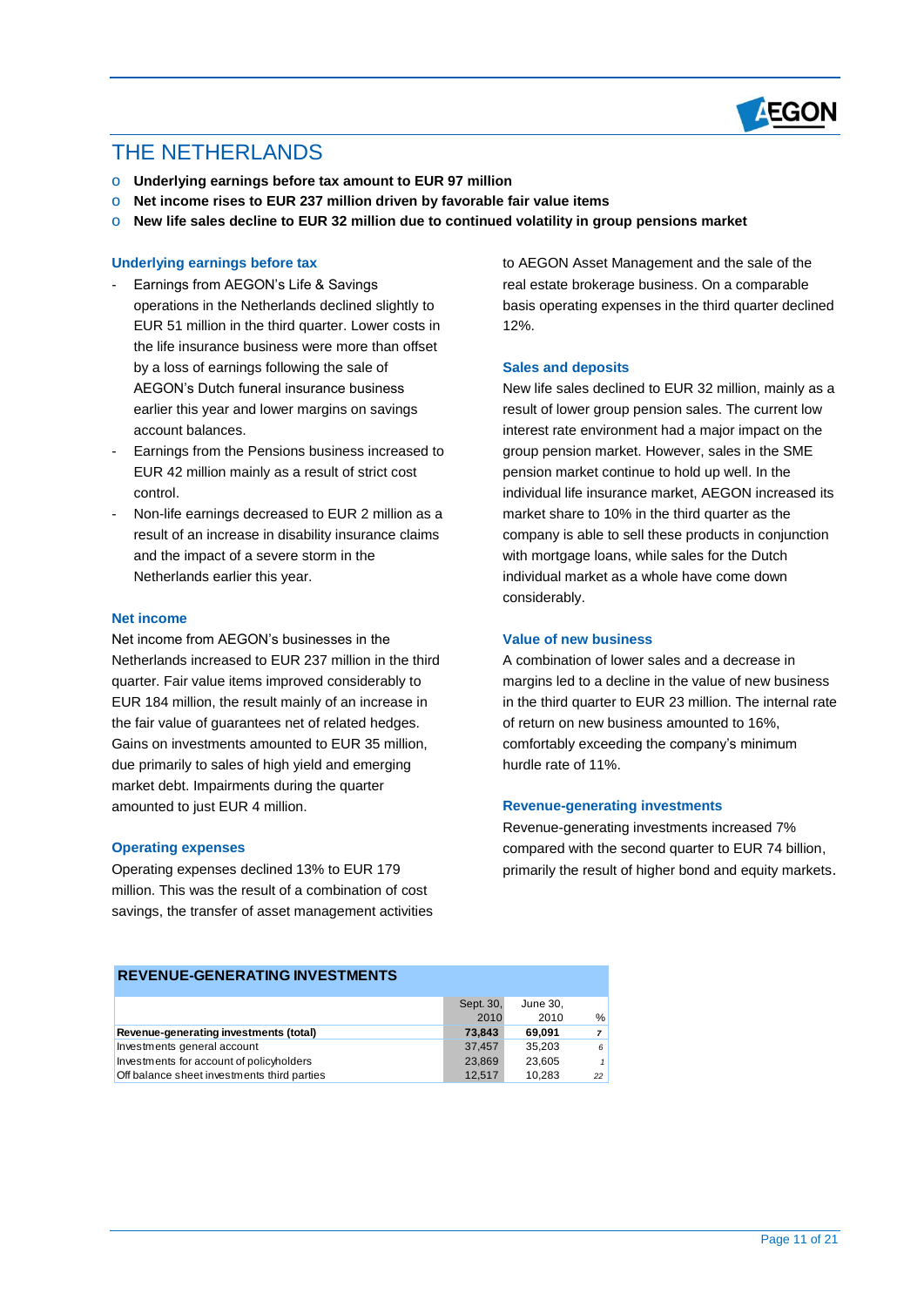

### THE NETHERI ANDS

- o **Underlying earnings before tax amount to EUR 97 million**
- o **Net income rises to EUR 237 million driven by favorable fair value items**
- o **New life sales decline to EUR 32 million due to continued volatility in group pensions market**

#### **Underlying earnings before tax**

- Earnings from AEGON's Life & Savings operations in the Netherlands declined slightly to EUR 51 million in the third quarter. Lower costs in the life insurance business were more than offset by a loss of earnings following the sale of AEGON's Dutch funeral insurance business earlier this year and lower margins on savings account balances.
- Earnings from the Pensions business increased to EUR 42 million mainly as a result of strict cost control.
- Non-life earnings decreased to EUR 2 million as a result of an increase in disability insurance claims and the impact of a severe storm in the Netherlands earlier this year.

#### **Net income**

Net income from AEGON's businesses in the Netherlands increased to EUR 237 million in the third quarter. Fair value items improved considerably to EUR 184 million, the result mainly of an increase in the fair value of guarantees net of related hedges. Gains on investments amounted to EUR 35 million, due primarily to sales of high yield and emerging market debt. Impairments during the quarter amounted to just EUR 4 million.

#### **Operating expenses**

Operating expenses declined 13% to EUR 179 million. This was the result of a combination of cost savings, the transfer of asset management activities to AEGON Asset Management and the sale of the real estate brokerage business. On a comparable basis operating expenses in the third quarter declined 12%.

#### **Sales and deposits**

New life sales declined to EUR 32 million, mainly as a result of lower group pension sales. The current low interest rate environment had a major impact on the group pension market. However, sales in the SME pension market continue to hold up well. In the individual life insurance market, AEGON increased its market share to 10% in the third quarter as the company is able to sell these products in conjunction with mortgage loans, while sales for the Dutch individual market as a whole have come down considerably.

#### **Value of new business**

A combination of lower sales and a decrease in margins led to a decline in the value of new business in the third quarter to EUR 23 million. The internal rate of return on new business amounted to 16%, comfortably exceeding the company's minimum hurdle rate of 11%.

#### **Revenue-generating investments**

Revenue-generating investments increased 7% compared with the second quarter to EUR 74 billion, primarily the result of higher bond and equity markets.

|                                             | Sept. 30, | June 30, |                |
|---------------------------------------------|-----------|----------|----------------|
|                                             | 2010      | 2010     | %              |
| Revenue-generating investments (total)      | 73,843    | 69.091   | $\overline{7}$ |
| Investments general account                 | 37.457    | 35.203   | 6              |
| Investments for account of policyholders    | 23.869    | 23.605   | $\mathbf{1}$   |
| Off balance sheet investments third parties | 12.517    | 10.283   | 22             |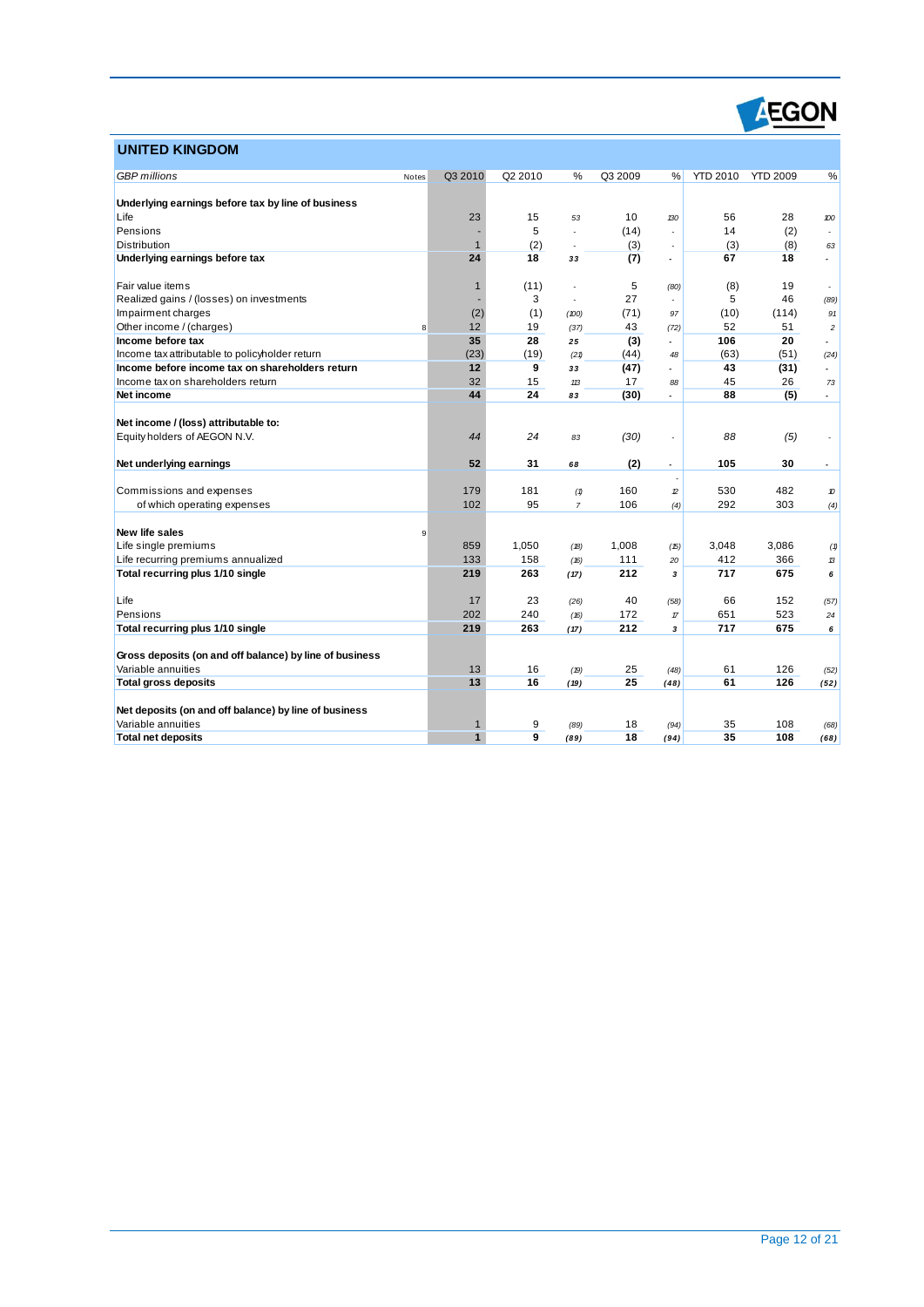

### **UNITED KINGDOM**

| <u>UNII ED KINGDOM</u>                                  |       |              |         |                |         |                          |                 |                 |                          |
|---------------------------------------------------------|-------|--------------|---------|----------------|---------|--------------------------|-----------------|-----------------|--------------------------|
| <b>GBP</b> millions                                     | Notes | Q3 2010      | Q2 2010 | %              | Q3 2009 | %                        | <b>YTD 2010</b> | <b>YTD 2009</b> | %                        |
|                                                         |       |              |         |                |         |                          |                 |                 |                          |
| Underlying earnings before tax by line of business      |       |              |         |                |         |                          |                 |                 |                          |
| Life                                                    |       | 23           | 15      | 53             | 10      | 130                      | 56              | 28              | 100                      |
| Pensions                                                |       |              | 5       | $\overline{a}$ | (14)    | $\overline{a}$           | 14              | (2)             | $\overline{a}$           |
| Distribution                                            |       | $\mathbf{1}$ | (2)     |                | (3)     |                          | (3)             | (8)             | 63                       |
| Underlying earnings before tax                          |       | 24           | 18      | 33             | (7)     | $\overline{a}$           | 67              | 18              |                          |
| Fair value items                                        |       | $\mathbf{1}$ | (11)    |                | 5       | (80)                     | (8)             | 19              | $\overline{\phantom{a}}$ |
| Realized gains / (losses) on investments                |       |              | 3       | ÷,             | 27      |                          | 5               | 46              | (89)                     |
| Impairment charges                                      |       | (2)          | (1)     | (100)          | (71)    | 97                       | (10)            | (114)           | 91                       |
| Other income / (charges)                                | 8     | 12           | 19      | (37)           | 43      | (72)                     | 52              | 51              | $\overline{c}$           |
| Income before tax                                       |       | 35           | 28      | 25             | (3)     |                          | 106             | 20              | $\overline{a}$           |
| Income tax attributable to policyholder return          |       | (23)         | (19)    | (21)           | (44)    | 48                       | (63)            | (51)            | (24)                     |
| Income before income tax on shareholders return         |       | 12           | 9       | 33             | (47)    | $\overline{\phantom{a}}$ | 43              | (31)            | $\overline{\phantom{a}}$ |
| Income tax on shareholders return                       |       | 32           | 15      | 113            | 17      | 88                       | 45              | 26              | 73                       |
| Net income                                              |       | 44           | 24      | 83             | (30)    | $\overline{a}$           | 88              | (5)             | $\overline{\phantom{a}}$ |
| Net income / (loss) attributable to:                    |       |              |         |                |         |                          |                 |                 |                          |
| Equity holders of AEGON N.V.                            |       | 44           | 24      | 83             | (30)    |                          | 88              | (5)             | $\sim$                   |
|                                                         |       |              |         |                |         |                          |                 |                 |                          |
| Net underlying earnings                                 |       | 52           | 31      | 68             | (2)     | $\overline{\phantom{a}}$ | 105             | 30              |                          |
| Commissions and expenses                                |       | 179          | 181     | (1)            | 160     | $\mathcal{D}$            | 530             | 482             | 10                       |
| of which operating expenses                             |       | 102          | 95      | $\overline{7}$ | 106     | (4)                      | 292             | 303             | (4)                      |
|                                                         |       |              |         |                |         |                          |                 |                 |                          |
| <b>New life sales</b>                                   | 9     |              |         |                |         |                          |                 |                 |                          |
| Life single premiums                                    |       | 859          | 1,050   | (B)            | 1,008   | (15)                     | 3,048           | 3,086           | (1)                      |
| Life recurring premiums annualized                      |       | 133          | 158     | (16)           | 111     | 20                       | 412             | 366             | 13                       |
| Total recurring plus 1/10 single                        |       | 219          | 263     | (17)           | 212     | 3                        | 717             | 675             | 6                        |
| Life                                                    |       | 17           | 23      | (26)           | 40      | (58)                     | 66              | 152             | (57)                     |
| Pensions                                                |       | 202          | 240     | (16)           | 172     | $\pi$                    | 651             | 523             | 24                       |
| Total recurring plus 1/10 single                        |       | 219          | 263     | (17)           | 212     | 3                        | 717             | 675             | 6                        |
|                                                         |       |              |         |                |         |                          |                 |                 |                          |
| Gross deposits (on and off balance) by line of business |       |              |         |                |         |                          |                 |                 |                          |
| Variable annuities                                      |       | 13           | 16      | (19)           | 25      | (48)                     | 61              | 126             | (52)                     |
| <b>Total gross deposits</b>                             |       | 13           | 16      | (19)           | 25      | (48)                     | 61              | 126             | (52)                     |
| Net deposits (on and off balance) by line of business   |       |              |         |                |         |                          |                 |                 |                          |
| Variable annuities                                      |       | 1            | 9       | (89)           | 18      | (94)                     | 35              | 108             | (68)                     |
| <b>Total net deposits</b>                               |       | $\mathbf{1}$ | 9       | (89)           | 18      | (94)                     | 35              | 108             | (68)                     |
|                                                         |       |              |         |                |         |                          |                 |                 |                          |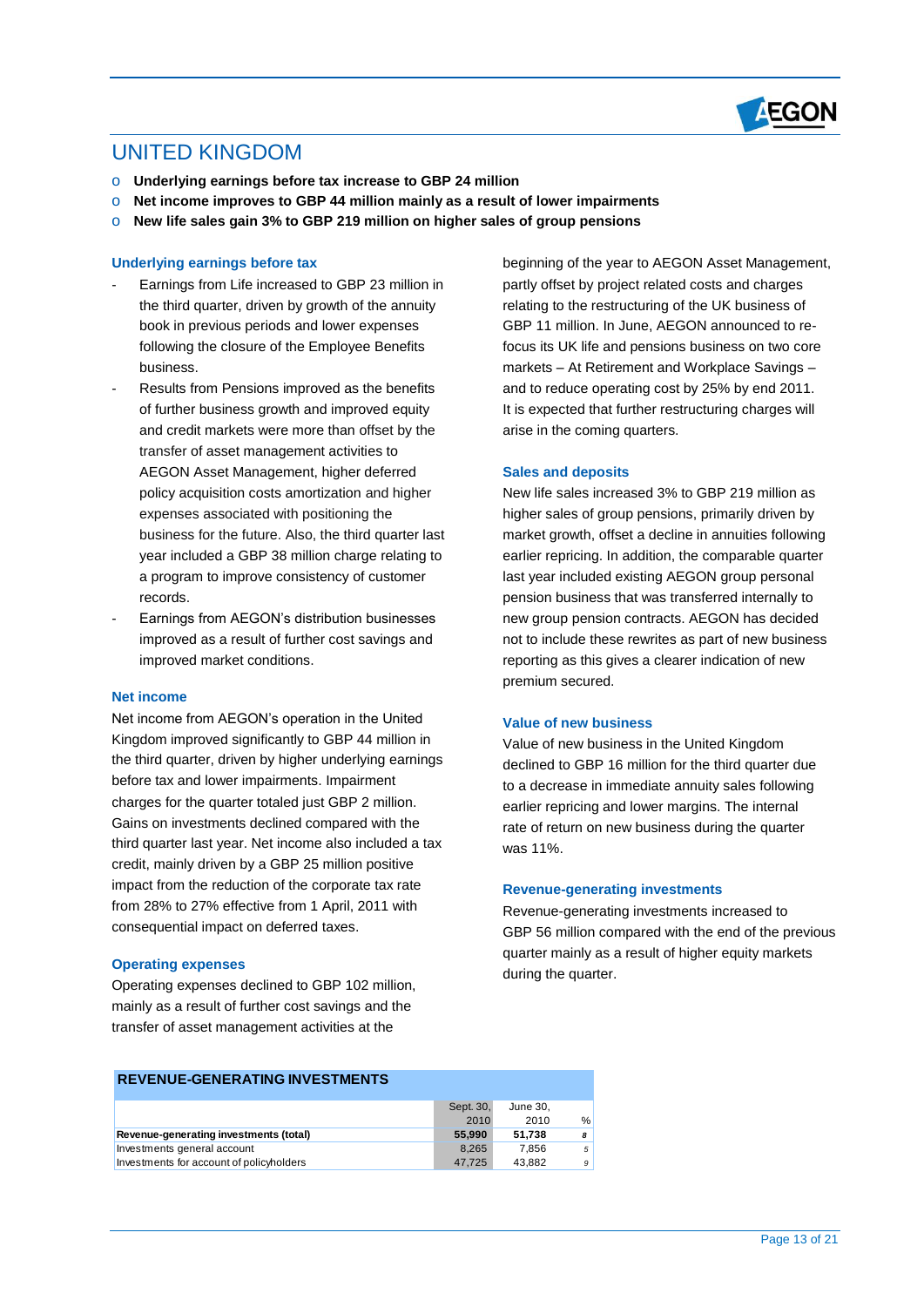

### UNITED KINGDOM

- o **Underlying earnings before tax increase to GBP 24 million**
- o **Net income improves to GBP 44 million mainly as a result of lower impairments**
- o **New life sales gain 3% to GBP 219 million on higher sales of group pensions**

#### **Underlying earnings before tax**

- Earnings from Life increased to GBP 23 million in the third quarter, driven by growth of the annuity book in previous periods and lower expenses following the closure of the Employee Benefits business.
- Results from Pensions improved as the benefits of further business growth and improved equity and credit markets were more than offset by the transfer of asset management activities to AEGON Asset Management, higher deferred policy acquisition costs amortization and higher expenses associated with positioning the business for the future. Also, the third quarter last year included a GBP 38 million charge relating to a program to improve consistency of customer records.
- Earnings from AEGON's distribution businesses improved as a result of further cost savings and improved market conditions.

#### **Net income**

Net income from AEGON's operation in the United Kingdom improved significantly to GBP 44 million in the third quarter, driven by higher underlying earnings before tax and lower impairments. Impairment charges for the quarter totaled just GBP 2 million. Gains on investments declined compared with the third quarter last year. Net income also included a tax credit, mainly driven by a GBP 25 million positive impact from the reduction of the corporate tax rate from 28% to 27% effective from 1 April, 2011 with consequential impact on deferred taxes.

#### **Operating expenses**

Operating expenses declined to GBP 102 million, mainly as a result of further cost savings and the transfer of asset management activities at the

beginning of the year to AEGON Asset Management, partly offset by project related costs and charges relating to the restructuring of the UK business of GBP 11 million. In June, AEGON announced to refocus its UK life and pensions business on two core markets – At Retirement and Workplace Savings – and to reduce operating cost by 25% by end 2011. It is expected that further restructuring charges will arise in the coming quarters.

#### **Sales and deposits**

New life sales increased 3% to GBP 219 million as higher sales of group pensions, primarily driven by market growth, offset a decline in annuities following earlier repricing. In addition, the comparable quarter last year included existing AEGON group personal pension business that was transferred internally to new group pension contracts. AEGON has decided not to include these rewrites as part of new business reporting as this gives a clearer indication of new premium secured.

#### **Value of new business**

Value of new business in the United Kingdom declined to GBP 16 million for the third quarter due to a decrease in immediate annuity sales following earlier repricing and lower margins. The internal rate of return on new business during the quarter was 11%.

#### **Revenue-generating investments**

Revenue-generating investments increased to GBP 56 million compared with the end of the previous quarter mainly as a result of higher equity markets during the quarter.

|                                          | Sept. 30, | June 30. |   |
|------------------------------------------|-----------|----------|---|
|                                          | 2010      | 2010     | % |
| Revenue-generating investments (total)   | 55,990    | 51.738   | 8 |
| Investments general account              | 8.265     | 7.856    | 5 |
| Investments for account of policyholders | 47.725    | 43.882   | 9 |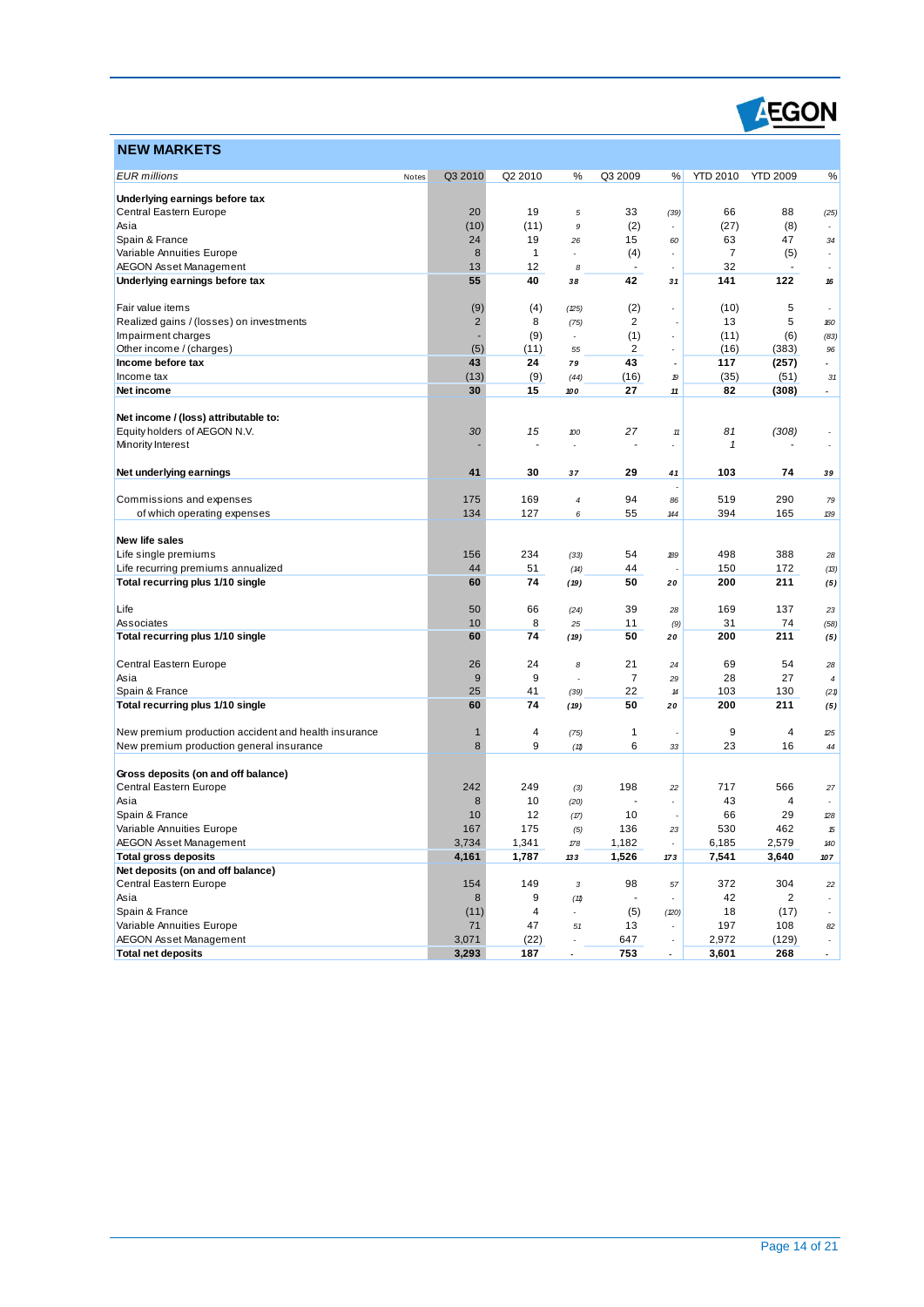

| <b>NEW MARKETS</b>                                                     |                  |              |                            |                |                             |                 |                 |                          |
|------------------------------------------------------------------------|------------------|--------------|----------------------------|----------------|-----------------------------|-----------------|-----------------|--------------------------|
| <b>EUR</b> millions                                                    | Q3 2010<br>Notes | Q2 2010      | %                          | Q3 2009        | %                           | <b>YTD 2010</b> | <b>YTD 2009</b> | %                        |
|                                                                        |                  |              |                            |                |                             |                 |                 |                          |
| Underlying earnings before tax<br>Central Eastern Europe               | 20               | 19           | 5                          | 33             |                             | 66              | 88              |                          |
| Asia                                                                   | (10)             | (11)         | 9                          | (2)            | (39)                        | (27)            | (8)             | (25)                     |
| Spain & France                                                         | 24               | 19           | 26                         | 15             | 60                          | 63              | 47              | 34                       |
| Variable Annuities Europe                                              | 8                | $\mathbf{1}$ | $\overline{a}$             | (4)            | $\overline{\phantom{a}}$    | $\overline{7}$  | (5)             | $\overline{\phantom{a}}$ |
| <b>AEGON Asset Management</b>                                          | 13               | 12           | 8                          | ÷,             | $\overline{\phantom{a}}$    | 32              |                 |                          |
| Underlying earnings before tax                                         | 55               | 40           | 38                         | 42             | 31                          | 141             | 122             | ${\bf 16}$               |
|                                                                        |                  |              |                            |                |                             |                 |                 |                          |
| Fair value items                                                       | (9)              | (4)          | (25)                       | (2)            |                             | (10)            | 5               |                          |
| Realized gains / (losses) on investments                               | $\overline{2}$   | 8            | (75)                       | $\overline{2}$ |                             | 13              | 5               | 160                      |
| Impairment charges                                                     |                  | (9)          | ÷                          | (1)            | $\overline{\phantom{a}}$    | (11)            | (6)             | (83)                     |
| Other income / (charges)                                               | (5)              | (11)         | 55                         | 2              | $\overline{a}$              | (16)            | (383)           | 96                       |
| Income before tax                                                      | 43               | 24           | 79                         | 43             | $\overline{\phantom{a}}$    | 117             | (257)           | $\overline{\phantom{a}}$ |
| Income tax                                                             | (13)             | (9)          | (44)                       | (16)           | 19                          | (35)            | (51)            | 31                       |
| Net income                                                             | 30               | 15           | 100                        | 27             | 11                          | 82              | (308)           | $\overline{\phantom{a}}$ |
|                                                                        |                  |              |                            |                |                             |                 |                 |                          |
| Net income / (loss) attributable to:                                   |                  |              |                            |                |                             |                 |                 |                          |
| Equity holders of AEGON N.V.                                           | 30               | 15           | 100                        | 27             | $11$                        | 81              | (308)           |                          |
| Minority Interest                                                      |                  |              |                            |                | $\overline{\phantom{a}}$    | 1               |                 |                          |
|                                                                        |                  |              |                            |                |                             |                 |                 |                          |
| Net underlying earnings                                                | 41               | 30           | 37                         | 29             | 41                          | 103             | 74              | 39                       |
|                                                                        |                  |              |                            |                |                             |                 |                 |                          |
| Commissions and expenses                                               | 175              | 169          | 4                          | 94             | 86                          | 519             | 290             | 79                       |
| of which operating expenses                                            | 134              | 127          | 6                          | 55             | 144                         | 394             | 165             | 139                      |
|                                                                        |                  |              |                            |                |                             |                 |                 |                          |
| New life sales<br>Life single premiums                                 | 156              | 234          |                            |                |                             | 498             | 388             |                          |
|                                                                        | 44               | 51           | (33)                       | 54<br>44       | 189                         | 150             | 172             | 28                       |
| Life recurring premiums annualized<br>Total recurring plus 1/10 single | 60               | 74           | (14)                       | 50             |                             | 200             | 211             | (13)                     |
|                                                                        |                  |              | (19)                       |                | 20                          |                 |                 | (5)                      |
| Life                                                                   | 50               | 66           | (24)                       | 39             | 28                          | 169             | 137             | 23                       |
| Associates                                                             | 10               | 8            | 25                         | 11             | (9)                         | 31              | 74              | (58)                     |
| Total recurring plus 1/10 single                                       | 60               | 74           | (19)                       | 50             | 20                          | 200             | 211             | (5)                      |
|                                                                        |                  |              |                            |                |                             |                 |                 |                          |
| Central Eastern Europe                                                 | 26               | 24           | 8                          | 21             | 24                          | 69              | 54              | 28                       |
| Asia                                                                   | 9                | 9            | ÷                          | $\overline{7}$ | 29                          | 28              | 27              | $\boldsymbol{4}$         |
| Spain & France                                                         | 25               | 41           | (39)                       | 22             | 14                          | 103             | 130             | (21)                     |
| Total recurring plus 1/10 single                                       | 60               | 74           | (19)                       | 50             | 20                          | 200             | 211             | (5)                      |
|                                                                        |                  |              |                            |                |                             |                 |                 |                          |
| New premium production accident and health insurance                   | $\mathbf{1}$     | 4            | (75)                       | 1              | $\overline{a}$              | 9               | 4               | 25                       |
| New premium production general insurance                               | 8                | 9            | (11)                       | 6              | 33                          | 23              | 16              | 44                       |
|                                                                        |                  |              |                            |                |                             |                 |                 |                          |
| Gross deposits (on and off balance)                                    |                  |              |                            |                |                             |                 |                 |                          |
| Central Eastern Europe                                                 | 242              | 249          | (3)                        | 198            | 22                          | 717             | 566             | 27                       |
| Asia                                                                   | 8                | 10           | (20)                       |                |                             | 43              | 4               |                          |
| Spain & France                                                         | 10               | 12           | (17)                       | 10             |                             | 66              | 29              | 28                       |
| Variable Annuities Europe                                              | 167              | 175          | (5)                        | 136            | 23                          | 530             | 462             | 15                       |
| <b>AEGON Asset Management</b>                                          | 3,734            | 1,341        | $\sqrt{78}$                | 1,182          | $\mathcal{L}_{\mathcal{A}}$ | 6,185           | 2,579           | 140                      |
| <b>Total gross deposits</b>                                            | 4,161            | 1,787        | 133                        | 1,526          | 173                         | 7,541           | 3,640           | 107                      |
| Net deposits (on and off balance)                                      |                  |              |                            |                |                             |                 |                 |                          |
| Central Eastern Europe                                                 | 154              | 149          | 3                          | 98             | 57                          | 372             | 304             | 22                       |
| Asia                                                                   | 8                | 9            | $(\mathcal{1}\mathcal{1})$ |                |                             | 42              | $\overline{2}$  | $\overline{\phantom{a}}$ |
| Spain & France                                                         | (11)             | 4            | ÷                          | (5)            | (20)                        | 18              | (17)            | $\sim$                   |
| Variable Annuities Europe                                              | 71               | 47           | $51\,$                     | 13             |                             | 197             | 108             | 82                       |
| <b>AEGON Asset Management</b>                                          | 3,071            | (22)         |                            | 647            | $\overline{\phantom{a}}$    | 2,972           | (129)           | $\overline{\phantom{a}}$ |
| <b>Total net deposits</b>                                              | 3,293            | 187          | $\overline{\phantom{a}}$   | 753            | $\overline{\phantom{a}}$    | 3,601           | 268             | $\sim$                   |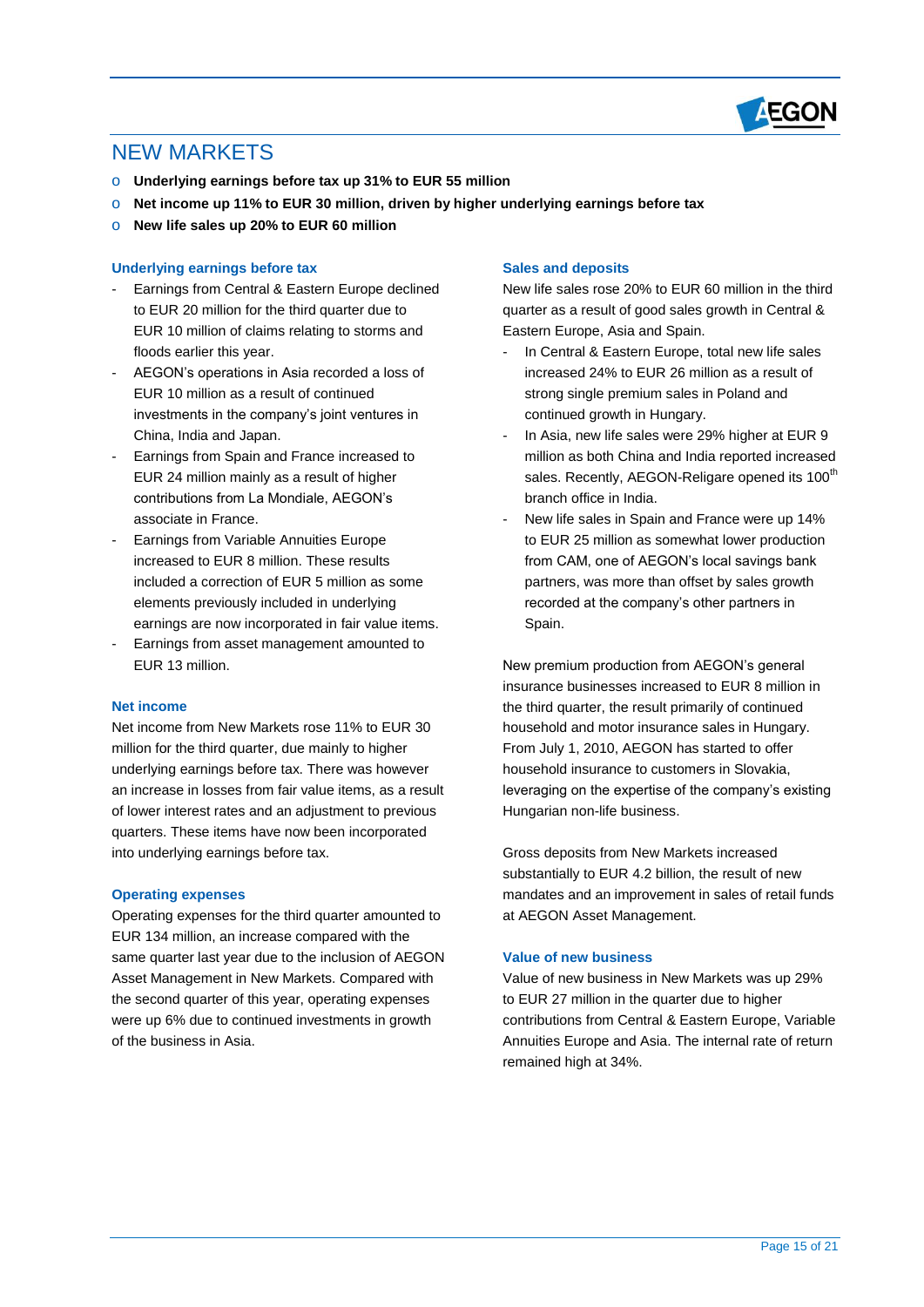

### NEW MARKETS

- o **Underlying earnings before tax up 31% to EUR 55 million**
- o **Net income up 11% to EUR 30 million, driven by higher underlying earnings before tax**
- o **New life sales up 20% to EUR 60 million**

#### **Underlying earnings before tax**

- Earnings from Central & Eastern Europe declined to EUR 20 million for the third quarter due to EUR 10 million of claims relating to storms and floods earlier this year.
- AEGON's operations in Asia recorded a loss of EUR 10 million as a result of continued investments in the company's joint ventures in China, India and Japan.
- Earnings from Spain and France increased to EUR 24 million mainly as a result of higher contributions from La Mondiale, AEGON's associate in France.
- Earnings from Variable Annuities Europe increased to EUR 8 million. These results included a correction of EUR 5 million as some elements previously included in underlying earnings are now incorporated in fair value items.
- Earnings from asset management amounted to EUR 13 million.

#### **Net income**

Net income from New Markets rose 11% to EUR 30 million for the third quarter, due mainly to higher underlying earnings before tax. There was however an increase in losses from fair value items, as a result of lower interest rates and an adjustment to previous quarters. These items have now been incorporated into underlying earnings before tax.

#### **Operating expenses**

Operating expenses for the third quarter amounted to EUR 134 million, an increase compared with the same quarter last year due to the inclusion of AEGON Asset Management in New Markets. Compared with the second quarter of this year, operating expenses were up 6% due to continued investments in growth of the business in Asia.

#### **Sales and deposits**

New life sales rose 20% to EUR 60 million in the third quarter as a result of good sales growth in Central & Eastern Europe, Asia and Spain.

- In Central & Eastern Europe, total new life sales increased 24% to EUR 26 million as a result of strong single premium sales in Poland and continued growth in Hungary.
- In Asia, new life sales were 29% higher at EUR 9 million as both China and India reported increased sales. Recently, AEGON-Religare opened its 100<sup>th</sup> branch office in India.
- New life sales in Spain and France were up 14% to EUR 25 million as somewhat lower production from CAM, one of AEGON's local savings bank partners, was more than offset by sales growth recorded at the company's other partners in Spain.

New premium production from AEGON's general insurance businesses increased to EUR 8 million in the third quarter, the result primarily of continued household and motor insurance sales in Hungary. From July 1, 2010, AEGON has started to offer household insurance to customers in Slovakia, leveraging on the expertise of the company's existing Hungarian non-life business.

Gross deposits from New Markets increased substantially to EUR 4.2 billion, the result of new mandates and an improvement in sales of retail funds at AEGON Asset Management.

#### **Value of new business**

Value of new business in New Markets was up 29% to EUR 27 million in the quarter due to higher contributions from Central & Eastern Europe, Variable Annuities Europe and Asia. The internal rate of return remained high at 34%.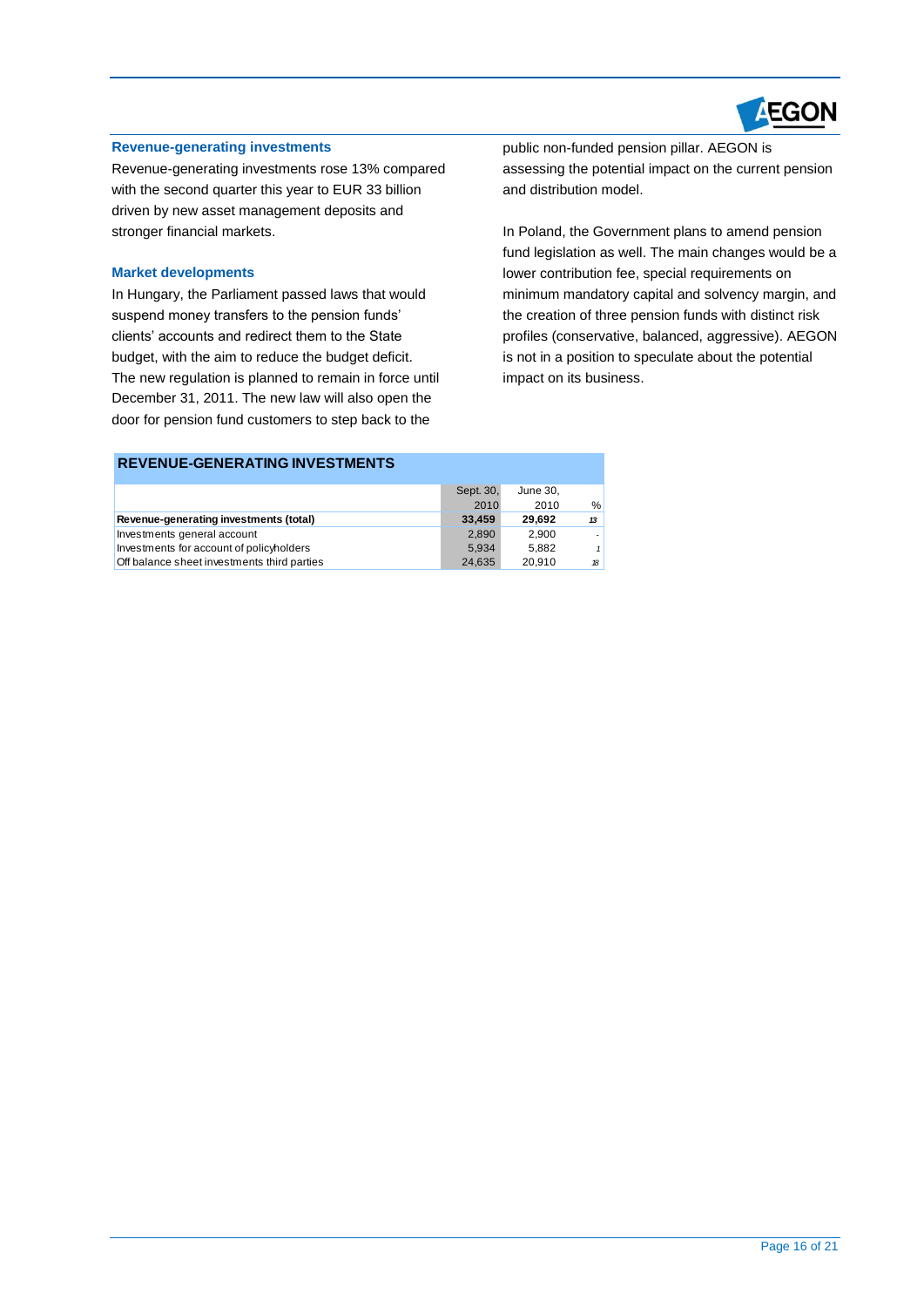

#### **Revenue-generating investments**

Revenue-generating investments rose 13% compared with the second quarter this year to EUR 33 billion driven by new asset management deposits and stronger financial markets.

#### **Market developments**

In Hungary, the Parliament passed laws that would suspend money transfers to the pension funds' clients' accounts and redirect them to the State budget, with the aim to reduce the budget deficit. The new regulation is planned to remain in force until December 31, 2011. The new law will also open the door for pension fund customers to step back to the

public non-funded pension pillar. AEGON is assessing the potential impact on the current pension and distribution model.

In Poland, the Government plans to amend pension fund legislation as well. The main changes would be a lower contribution fee, special requirements on minimum mandatory capital and solvency margin, and the creation of three pension funds with distinct risk profiles (conservative, balanced, aggressive). AEGON is not in a position to speculate about the potential impact on its business.

|                                             | Sept. 30, | June 30. |    |
|---------------------------------------------|-----------|----------|----|
|                                             | 2010      | 2010     | %  |
| Revenue-generating investments (total)      | 33,459    | 29.692   | 13 |
| Investments general account                 | 2.890     | 2.900    |    |
| Investments for account of policyholders    | 5.934     | 5.882    | 1  |
| Off balance sheet investments third parties | 24.635    | 20.910   | 18 |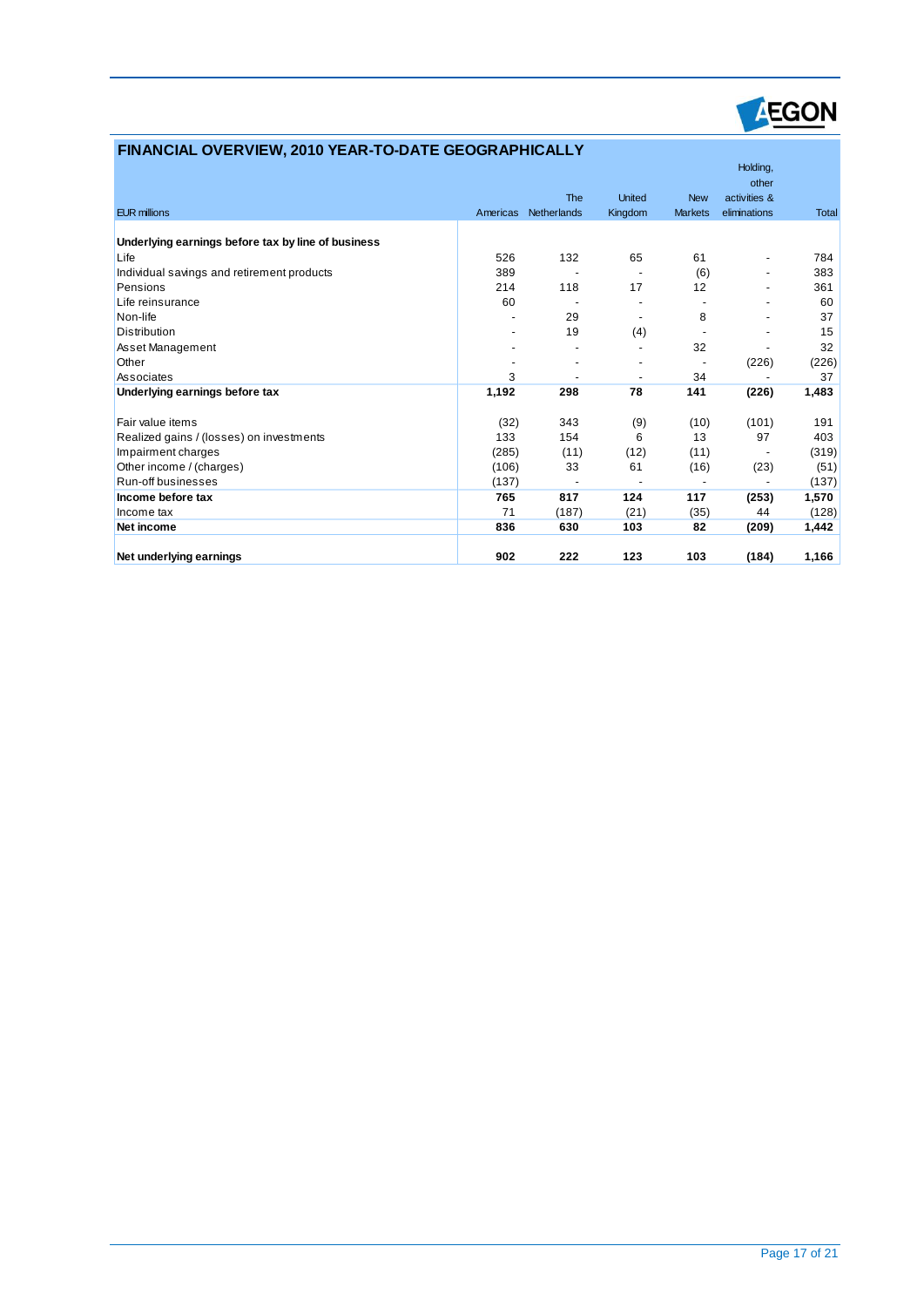

### **FINANCIAL OVERVIEW, 2010 YEAR-TO-DATE GEOGRAPHICALLY**

|                                                    |          |             |         |                | Holding,<br>other            |              |
|----------------------------------------------------|----------|-------------|---------|----------------|------------------------------|--------------|
|                                                    |          | <b>The</b>  | United  | <b>New</b>     | activities &                 |              |
| <b>EUR millions</b>                                | Americas | Netherlands | Kingdom | <b>Markets</b> | eliminations                 | <b>Total</b> |
| Underlying earnings before tax by line of business |          |             |         |                |                              |              |
| Life                                               | 526      | 132         | 65      | 61             | $\overline{a}$               | 784          |
| Individual savings and retirement products         | 389      |             |         | (6)            | $\overline{a}$               | 383          |
| Pensions                                           | 214      | 118         | 17      | 12             | $\overline{a}$               | 361          |
| Life reinsurance                                   | 60       |             |         |                |                              | 60           |
| Non-life                                           |          | 29          |         | 8              |                              | 37           |
| <b>Distribution</b>                                |          | 19          | (4)     |                |                              | 15           |
| Asset Management                                   |          |             |         | 32             |                              | 32           |
| Other                                              |          |             |         |                | (226)                        | (226)        |
| Associates                                         | 3        |             |         | 34             |                              | 37           |
| Underlying earnings before tax                     | 1,192    | 298         | 78      | 141            | (226)                        | 1,483        |
| Fair value items                                   | (32)     | 343         | (9)     | (10)           | (101)                        | 191          |
| Realized gains / (losses) on investments           | 133      | 154         | 6       | 13             | 97                           | 403          |
| Impairment charges                                 | (285)    | (11)        | (12)    | (11)           | $\qquad \qquad \blacksquare$ | (319)        |
| Other income / (charges)                           | (106)    | 33          | 61      | (16)           | (23)                         | (51)         |
| Run-off businesses                                 | (137)    |             |         |                |                              | (137)        |
| Income before tax                                  | 765      | 817         | 124     | 117            | (253)                        | 1,570        |
| Income tax                                         | 71       | (187)       | (21)    | (35)           | 44                           | (128)        |
| Net income                                         | 836      | 630         | 103     | 82             | (209)                        | 1,442        |
| Net underlying earnings                            | 902      | 222         | 123     | 103            | (184)                        | 1,166        |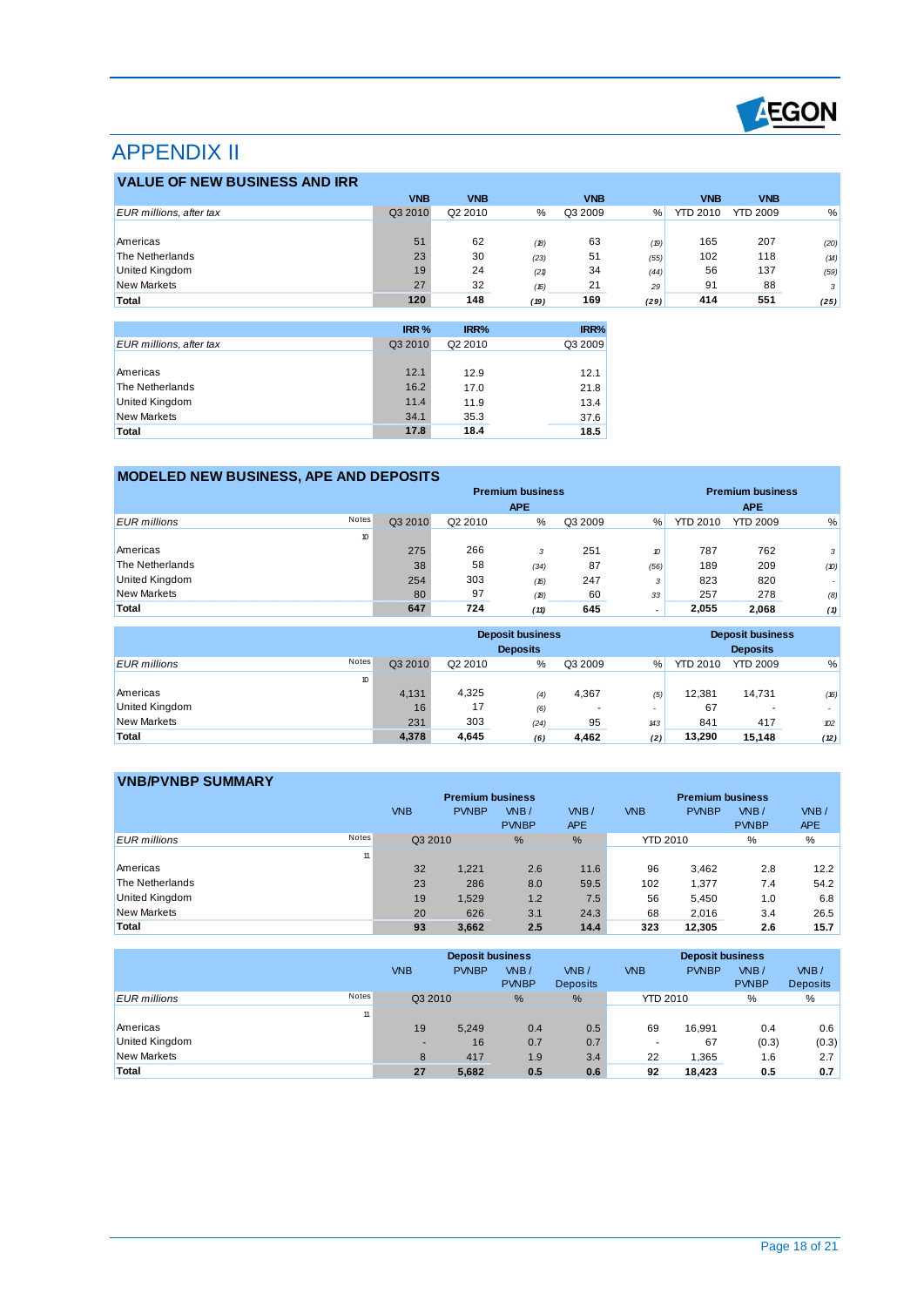

# APPENDIX II

### **VALUE OF NEW BUSINESS AND IRR**

| <b>VALUE OF NEW BUSINESS AND IRR</b> |                  |             |      |             |      |                 |                 |      |
|--------------------------------------|------------------|-------------|------|-------------|------|-----------------|-----------------|------|
|                                      | <b>VNB</b>       | <b>VNB</b>  |      | <b>VNB</b>  |      | <b>VNB</b>      | <b>VNB</b>      |      |
| EUR millions, after tax              | Q3 2010          | Q2 2010     | %    | Q3 2009     | $\%$ | <b>YTD 2010</b> | <b>YTD 2009</b> | %    |
|                                      |                  |             |      |             |      |                 |                 |      |
| Americas                             | 51               | 62          | (18) | 63          | (19) | 165             | 207             | (20) |
| The Netherlands                      | 23               | 30          | (23) | 51          | (55) | 102             | 118             | (14) |
| United Kingdom                       | 19               | 24          | (21) | 34          | (44) | 56              | 137             | (59) |
| <b>New Markets</b>                   | 27               | 32          | (16) | 21          | 29   | 91              | 88              | 3    |
| Total                                | 120              | 148         | (19) | 169         | (29) | 414             | 551             | (25) |
|                                      |                  |             |      |             |      |                 |                 |      |
|                                      | 100 <sub>2</sub> | <b>IDDA</b> |      | <b>IDDA</b> |      |                 |                 |      |

|                                | IRR %   | IRR%    | IRR%    |
|--------------------------------|---------|---------|---------|
| <b>EUR</b> millions, after tax | Q3 2010 | Q2 2010 | Q3 2009 |
|                                |         |         |         |
| Americas                       | 12.1    | 12.9    | 12.1    |
| The Netherlands                | 16.2    | 17.0    | 21.8    |
| <b>United Kingdom</b>          | 11.4    | 11.9    | 13.4    |
| <b>New Markets</b>             | 34.1    | 35.3    | 37.6    |
| Total                          | 17.8    | 18.4    | 18.5    |

### **MODELED NEW BUSINESS, APE AND DEPOSITS**

|                              |         |         | <b>Premium business</b> |         | <b>Premium business</b> |                 |                 |        |
|------------------------------|---------|---------|-------------------------|---------|-------------------------|-----------------|-----------------|--------|
|                              |         |         | <b>APE</b>              |         |                         |                 | <b>APE</b>      |        |
| Notes<br><b>EUR</b> millions | Q3 2010 | Q2 2010 | %                       | Q3 2009 | $\%$                    | <b>YTD 2010</b> | <b>YTD 2009</b> | %      |
| 10                           |         |         |                         |         |                         |                 |                 |        |
| Americas                     | 275     | 266     | 3                       | 251     | 10                      | 787             | 762             | 3      |
| The Netherlands              | 38      | 58      | (34)                    | 87      | (56)                    | 189             | 209             | (D)    |
| <b>United Kingdom</b>        | 254     | 303     | (16)                    | 247     | 3                       | 823             | 820             | $\sim$ |
| <b>New Markets</b>           | 80      | 97      | (18)                    | 60      | 33                      | 257             | 278             | (8)    |
| Total                        | 647     | 724     | (11)                    | 645     |                         | 2,055           | 2.068           | (1)    |

|                              |         |         | <b>Deposit business</b><br><b>Deposits</b> |         |     |                 | <b>Deposit business</b><br><b>Deposits</b> |        |
|------------------------------|---------|---------|--------------------------------------------|---------|-----|-----------------|--------------------------------------------|--------|
| Notes<br><b>EUR</b> millions | Q3 2010 | Q2 2010 | %                                          | Q3 2009 | %   | <b>YTD 2010</b> | <b>YTD 2009</b>                            | %      |
| 10                           |         |         |                                            |         |     |                 |                                            |        |
| Americas                     | 4,131   | 4,325   | (4)                                        | 4,367   | (5) | 12.381          | 14,731                                     | (16)   |
| United Kingdom               | 16      | 17      | (6)                                        | ٠       |     | 67              | ٠                                          | $\sim$ |
| <b>New Markets</b>           | 231     | 303     | (24)                                       | 95      | 143 | 841             | 417                                        | 102    |
| Total                        | 4,378   | 4,645   | (6)                                        | 4,462   | (2) | 13.290          | 15,148                                     | (12)   |

|                    |       |            | <b>Premium business</b> |                      | <b>Premium business</b> |                 |              |                      |                    |
|--------------------|-------|------------|-------------------------|----------------------|-------------------------|-----------------|--------------|----------------------|--------------------|
|                    |       | <b>VNB</b> | <b>PVNBP</b>            | VNB/<br><b>PVNBP</b> | VNB/<br><b>APE</b>      | <b>VNB</b>      | <b>PVNBP</b> | VNB/<br><b>PVNBP</b> | VNB/<br><b>APE</b> |
| EUR millions       | Notes | Q3 2010    |                         | %                    | %                       | <b>YTD 2010</b> |              | %                    | %                  |
|                    | 11    |            |                         |                      |                         |                 |              |                      |                    |
| Americas           |       | 32         | 1.221                   | 2.6                  | 11.6                    | 96              | 3,462        | 2.8                  | 12.2               |
| The Netherlands    |       | 23         | 286                     | 8.0                  | 59.5                    | 102             | 1,377        | 7.4                  | 54.2               |
| United Kingdom     |       | 19         | 1,529                   | 1.2                  | 7.5                     | 56              | 5,450        | 1.0                  | 6.8                |
| <b>New Markets</b> |       | 20         | 626                     | 3.1                  | 24.3                    | 68              | 2,016        | 3.4                  | 26.5               |
| Total              |       | 93         | 3,662                   | 2.5                  | 14.4                    | 323             | 12,305       | 2.6                  | 15.7               |

|                     |       |            | <b>Deposit business</b> |                      |                         | <b>Deposit business</b> |              |                      |                         |
|---------------------|-------|------------|-------------------------|----------------------|-------------------------|-------------------------|--------------|----------------------|-------------------------|
|                     |       | <b>VNB</b> | <b>PVNBP</b>            | VNB/<br><b>PVNBP</b> | VNB/<br><b>Deposits</b> | <b>VNB</b>              | <b>PVNBP</b> | VNB/<br><b>PVNBP</b> | VNB/<br><b>Deposits</b> |
|                     |       |            |                         |                      |                         |                         |              |                      |                         |
| <b>EUR</b> millions | Notes | Q3 2010    |                         | %                    | $\%$                    | <b>YTD 2010</b>         |              | %                    | %                       |
|                     | 11    |            |                         |                      |                         |                         |              |                      |                         |
| Americas            |       | 19         | 5,249                   | 0.4                  | 0.5                     | 69                      | 16,991       | 0.4                  | 0.6                     |
| United Kingdom      |       |            | 16                      | 0.7                  | 0.7                     |                         | 67           | (0.3)                | (0.3)                   |
| <b>New Markets</b>  |       | 8          | 417                     | 1.9                  | 3.4                     | 22                      | 1,365        | 1.6                  | 2.7                     |
| Total               |       | 27         | 5,682                   | 0.5                  | 0.6                     | 92                      | 18,423       | 0.5                  | 0.7                     |
|                     |       |            |                         |                      |                         |                         |              |                      |                         |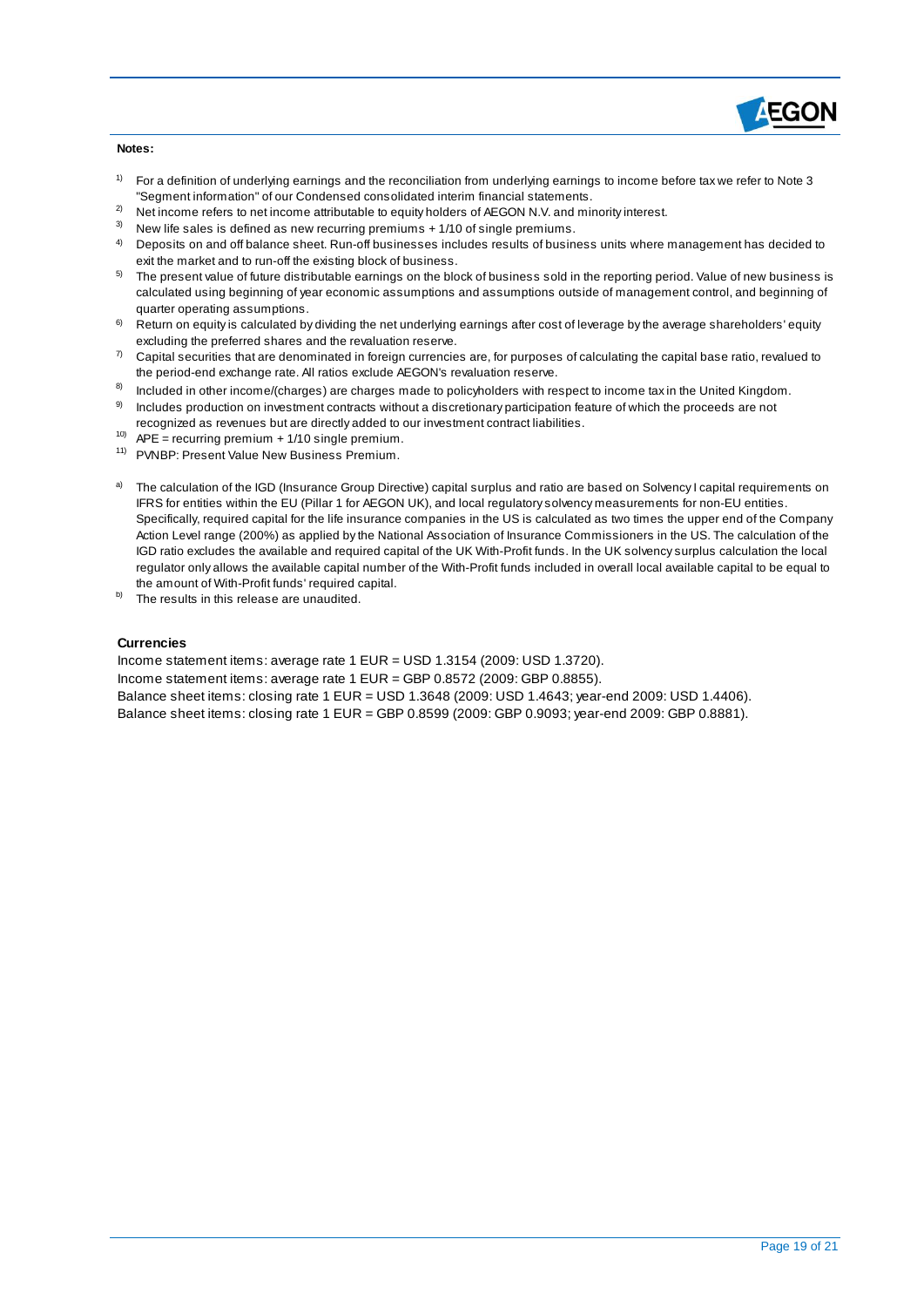

#### **Notes:**

- $1)$  For a definition of underlying earnings and the reconciliation from underlying earnings to income before tax we refer to Note 3 "Segment information" of our Condensed consolidated interim financial statements.
- <sup>2)</sup> Net income refers to net income attributable to equity holders of AEGON N.V. and minority interest.
- New life sales is defined as new recurring premiums + 1/10 of single premiums.
- $4$  Deposits on and off balance sheet. Run-off businesses includes results of business units where management has decided to exit the market and to run-off the existing block of business.
- 5) The present value of future distributable earnings on the block of business sold in the reporting period. Value of new business is calculated using beginning of year economic assumptions and assumptions outside of management control, and beginning of quarter operating assumptions.
- 6) Return on equity is calculated by dividing the net underlying earnings after cost of leverage by the average shareholders' equity excluding the preferred shares and the revaluation reserve.
- $7$  Capital securities that are denominated in foreign currencies are, for purposes of calculating the capital base ratio, revalued to the period-end exchange rate. All ratios exclude AEGON's revaluation reserve.
- 8) Included in other income/(charges) are charges made to policyholders with respect to income tax in the United Kingdom.
- 9) Includes production on investment contracts without a discretionary participation feature of which the proceeds are not recognized as revenues but are directly added to our investment contract liabilities.
- <sup>10)</sup> APE = recurring premium + 1/10 single premium.
- 11) PVNBP: Present Value New Business Premium.
- a) The calculation of the IGD (Insurance Group Directive) capital surplus and ratio are based on Solvency I capital requirements on IFRS for entities within the EU (Pillar 1 for AEGON UK), and local regulatory solvency measurements for non-EU entities. Specifically, required capital for the life insurance companies in the US is calculated as two times the upper end of the Company Action Level range (200%) as applied by the National Association of Insurance Commissioners in the US. The calculation of the IGD ratio excludes the available and required capital of the UK With-Profit funds. In the UK solvency surplus calculation the local regulator only allows the available capital number of the With-Profit funds included in overall local available capital to be equal to the amount of With-Profit funds' required capital.
- b) The results in this release are unaudited.

#### **Currencies**

Income statement items: average rate 1 EUR = USD 1.3154 (2009: USD 1.3720). Income statement items: average rate 1 EUR = GBP 0.8572 (2009: GBP 0.8855). Balance sheet items: closing rate 1 EUR = USD 1.3648 (2009: USD 1.4643; year-end 2009: USD 1.4406). Balance sheet items: closing rate 1 EUR = GBP 0.8599 (2009: GBP 0.9093; year-end 2009: GBP 0.8881).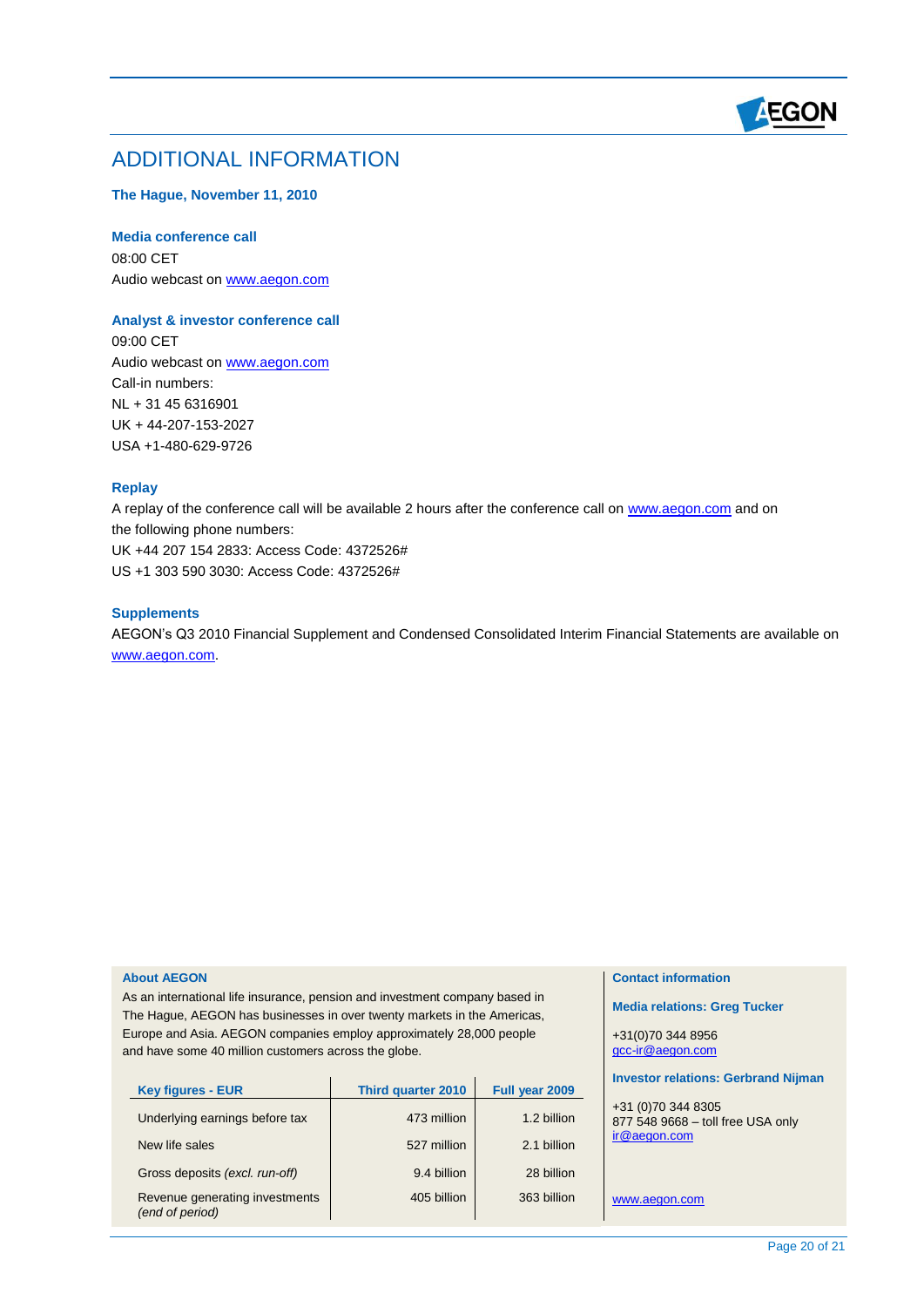

## ADDITIONAL INFORMATION

#### **The Hague, November 11, 2010**

#### **Media conference call**

08:00 CET Audio webcast o[n www.aegon.com](http://www.aegon.com/)

#### **Analyst & investor conference call**

09:00 CET Audio webcast o[n www.aegon.com](http://www.aegon.com/) Call-in numbers: NL + 31 45 6316901 UK + 44-207-153-2027 USA +1-480-629-9726

#### **Replay**

A replay of the conference call will be available 2 hours after the conference call on [www.aegon.com](http://www.aegon.com/) and on the following phone numbers: UK +44 207 154 2833: Access Code: 4372526# US +1 303 590 3030: Access Code: 4372526#

#### **Supplements**

AEGON's Q3 2010 Financial Supplement and Condensed Consolidated Interim Financial Statements are available on [www.aegon.com.](http://www.aegon.com/)

#### **About AEGON**

As an international life insurance, pension and investment company based in The Hague, AEGON has businesses in over twenty markets in the Americas, Europe and Asia. AEGON companies employ approximately 28,000 people and have some 40 million customers across the globe.

| <b>Key figures - EUR</b>                          | <b>Third quarter 2010</b> | Full year 2009 |
|---------------------------------------------------|---------------------------|----------------|
| Underlying earnings before tax                    | 473 million               | 1.2 billion    |
| New life sales                                    | 527 million               | 2.1 billion    |
| Gross deposits (excl. run-off)                    | 9.4 billion               | 28 billion     |
| Revenue generating investments<br>(end of period) | 405 billion               | 363 billion    |

#### **Contact information**

**Media relations: Greg Tucker**

+31(0)70 344 8956 [gcc-ir@aegon.com](mailto:gcc-ir@aegon.com)

#### **Investor relations: Gerbrand Nijman**

+31 (0)70 344 8305 877 548 9668 – toll free USA only [ir@aegon.com](mailto:ir@aegon.com)

[www.aegon.com](http://www.aegon.com/)